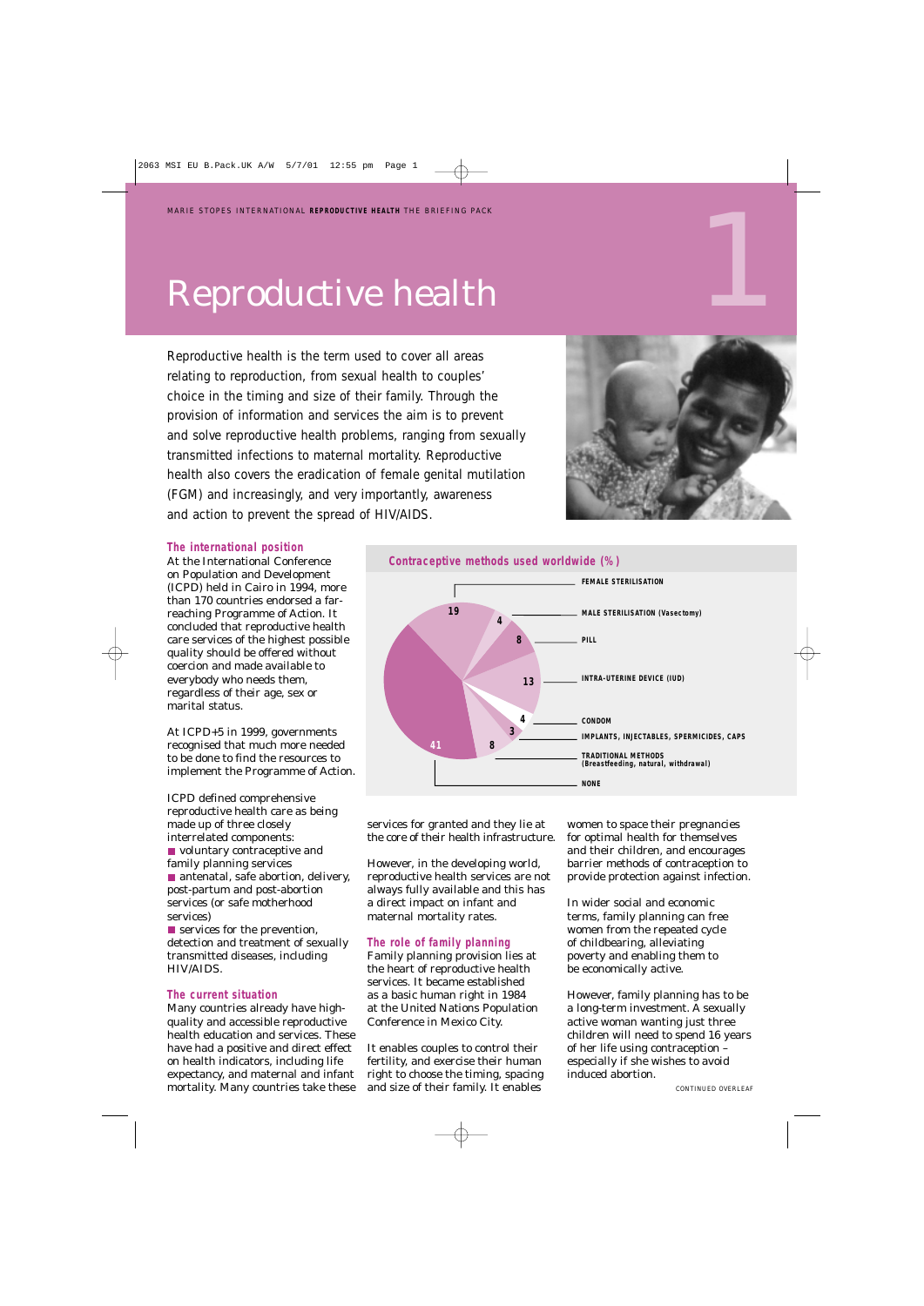## Reproductive health

Reproductive health is the term used to cover all areas relating to reproduction, from sexual health to couples' choice in the timing and size of their family. Through the provision of information and services the aim is to prevent and solve reproductive health problems, ranging from sexually transmitted infections to maternal mortality. Reproductive health also covers the eradication of female genital mutilation (FGM) and increasingly, and very importantly, awareness and action to prevent the spread of HIV/AIDS.



#### **The international position**

At the International Conference on Population and Development (ICPD) held in Cairo in 1994, more than 170 countries endorsed a farreaching Programme of Action. It concluded that reproductive health care services of the highest possible quality should be offered without coercion and made available to everybody who needs them, regardless of their age, sex or marital status.



At ICPD+5 in 1999, governments recognised that much more needed to be done to find the resources to implement the Programme of Action.

ICPD defined comprehensive reproductive health care as being made up of three closely interrelated components:

voluntary contraceptive and family planning services ■ antenatal, safe abortion, delivery, post-partum and post-abortion services (or safe motherhood services)

**Services for the prevention,** detection and treatment of sexually transmitted diseases, including HIV/AIDS.

#### **The current situation**

Many countries already have highquality and accessible reproductive health education and services. These have had a positive and direct effect on health indicators, including life expectancy, and maternal and infant mortality. Many countries take these services for granted and they lie at the core of their health infrastructure.

However, in the developing world, reproductive health services are not always fully available and this has a direct impact on infant and maternal mortality rates.

#### **The role of family planning**

Family planning provision lies at the heart of reproductive health services. It became established as a basic human right in 1984 at the United Nations Population Conference in Mexico City.

It enables couples to control their fertility, and exercise their human right to choose the timing, spacing and size of their family. It enables

women to space their pregnancies for optimal health for themselves and their children, and encourages barrier methods of contraception to provide protection against infection.

In wider social and economic terms, family planning can free women from the repeated cycle of childbearing, alleviating poverty and enabling them to be economically active.

However, family planning has to be a long-term investment. A sexually active woman wanting just three children will need to spend 16 years of her life using contraception – especially if she wishes to avoid induced abortion.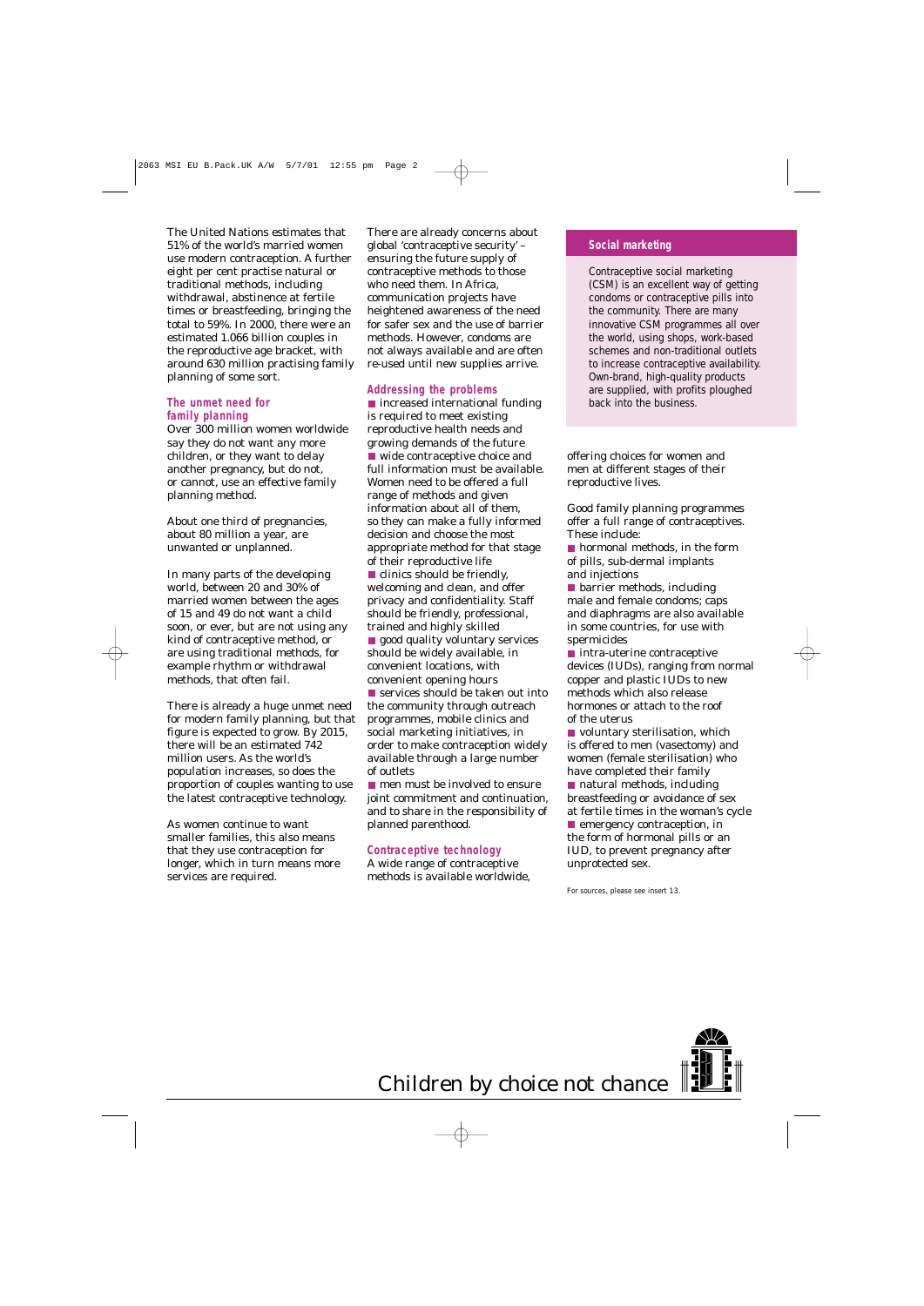The United Nations estimates that 51% of the world's married women use modern contraception. A further eight per cent practise natural or traditional methods, including withdrawal, abstinence at fertile times or breastfeeding, bringing the total to 59%. In 2000, there were an estimated 1.066 billion couples in the reproductive age bracket, with around 630 million practising family planning of some sort.

#### **The unmet need for family planning**

Over 300 million women worldwide say they do not want any more children, or they want to delay another pregnancy, but do not, or cannot, use an effective family planning method.

About one third of pregnancies, about 80 million a year, are unwanted or unplanned.

In many parts of the developing world, between 20 and 30% of married women between the ages of 15 and 49 do not want a child soon, or ever, but are not using any kind of contraceptive method, or are using traditional methods, for example rhythm or withdrawal methods, that often fail.

There is already a huge unmet need for modern family planning, but that figure is expected to grow. By 2015, there will be an estimated 742 million users. As the world's population increases, so does the proportion of couples wanting to use the latest contraceptive technology.

As women continue to want smaller families, this also means that they use contraception for longer, which in turn means more services are required.

There are already concerns about global 'contraceptive security' – ensuring the future supply of contraceptive methods to those who need them. In Africa, communication projects have heightened awareness of the need for safer sex and the use of barrier methods. However, condoms are not always available and are often re-used until new supplies arrive.

#### **Addressing the problems**

■ increased international funding is required to meet existing reproductive health needs and growing demands of the future wide contraceptive choice and full information must be available. Women need to be offered a full range of methods and given information about all of them, so they can make a fully informed decision and choose the most appropriate method for that stage of their reproductive life clinics should be friendly, welcoming and clean, and offer privacy and confidentiality. Staff should be friendly, professional, trained and highly skilled **good quality voluntary services** should be widely available, in convenient locations, with convenient opening hours ■ services should be taken out into the community through outreach programmes, mobile clinics and social marketing initiatives, in order to make contraception widely available through a large number of outlets

**n** men must be involved to ensure joint commitment and continuation, and to share in the responsibility of planned parenthood.

#### **Contraceptive technology**

A wide range of contraceptive methods is available worldwide,

#### **Social marketing**

Contraceptive social marketing (CSM) is an excellent way of getting condoms or contraceptive pills into the community. There are many innovative CSM programmes all over the world, using shops, work-based schemes and non-traditional outlets to increase contraceptive availability. Own-brand, high-quality products are supplied, with profits ploughed back into the business.

offering choices for women and men at different stages of their reproductive lives.

Good family planning programmes offer a full range of contraceptives. These include:

■ hormonal methods, in the form of pills, sub-dermal implants and injections

**D** barrier methods, including male and female condoms; caps and diaphragms are also available in some countries, for use with spermicides

 $\blacksquare$  intra-uterine contraceptive devices (IUDs), ranging from normal copper and plastic IUDs to new methods which also release hormones or attach to the roof of the uterus

voluntary sterilisation, which is offered to men (vasectomy) and women (female sterilisation) who have completed their family ■ natural methods, including breastfeeding or avoidance of sex at fertile times in the woman's cycle **E** emergency contraception, in the form of hormonal pills or an IUD, to prevent pregnancy after unprotected sex.

For sources, please see insert 13.

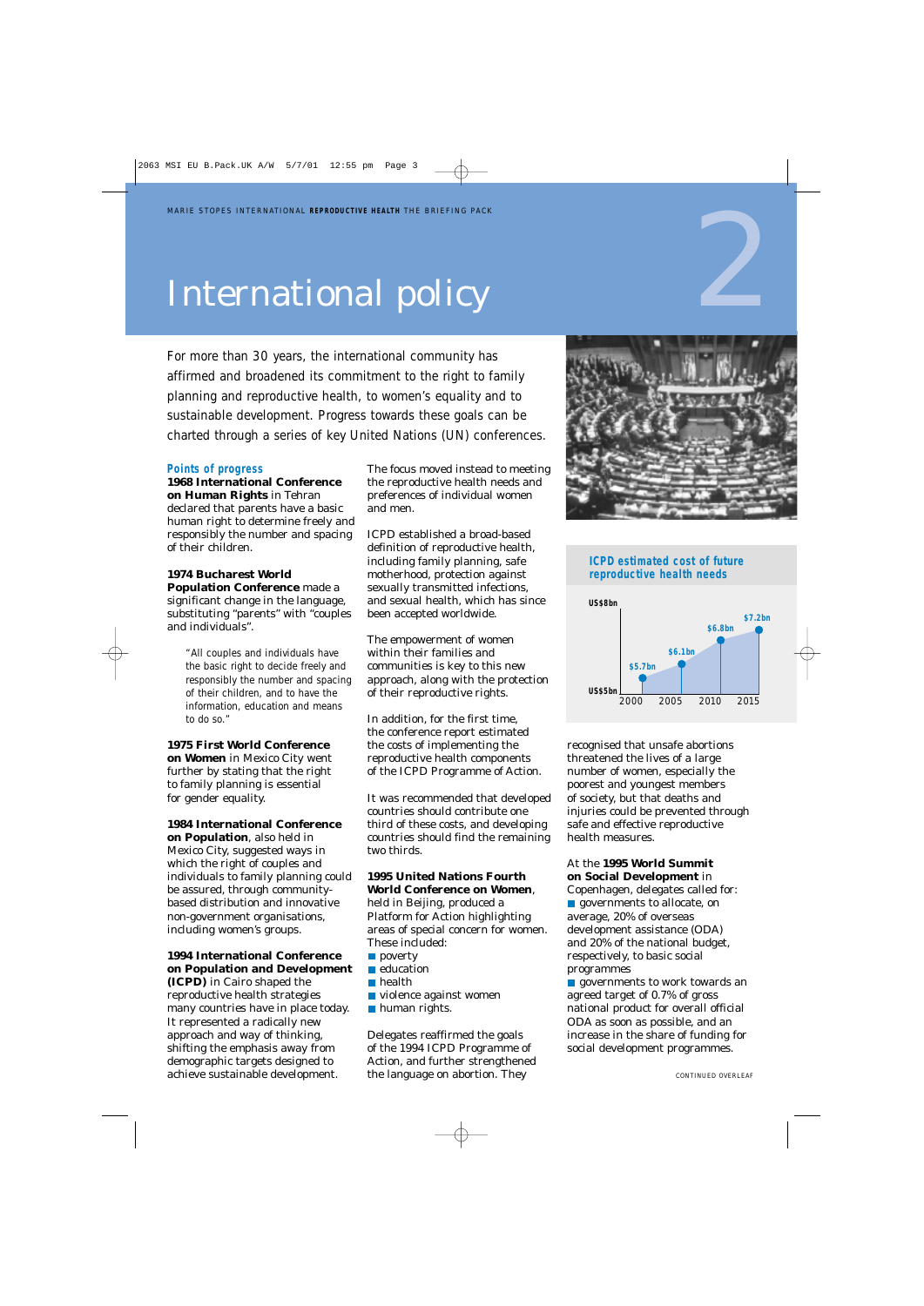## International policy

For more than 30 years, the international community has affirmed and broadened its commitment to the right to family planning and reproductive health, to women's equality and to sustainable development. Progress towards these goals can be charted through a series of key United Nations (UN) conferences.

#### **Points of progress**

**1968 International Conference on Human Rights** in Tehran declared that parents have a basic human right to determine freely and responsibly the number and spacing of their children.

#### **1974 Bucharest World Population Conference** made a significant change in the language, substituting "parents" with "couples and individuals".

*"All couples and individuals have the basic right to decide freely and responsibly the number and spacing of their children, and to have the information, education and means to do so."*

**1975 First World Conference on Women** in Mexico City went further by stating that the right to family planning is essential for gender equality.

#### **1984 International Conference**

**on Population**, also held in Mexico City, suggested ways in which the right of couples and individuals to family planning could be assured, through communitybased distribution and innovative non-government organisations, including women's groups.

#### **1994 International Conference on Population and Development**

**(ICPD)** in Cairo shaped the reproductive health strategies many countries have in place today. It represented a radically new approach and way of thinking, shifting the emphasis away from demographic targets designed to achieve sustainable development.

The focus moved instead to meeting the reproductive health needs and preferences of individual women and men.

ICPD established a broad-based definition of reproductive health, including family planning, safe motherhood, protection against sexually transmitted infections, and sexual health, which has since been accepted worldwide.

The empowerment of women within their families and communities is key to this new approach, along with the protection of their reproductive rights.

In addition, for the first time, the conference report estimated the costs of implementing the reproductive health components of the ICPD Programme of Action.

It was recommended that developed countries should contribute one third of these costs, and developing countries should find the remaining two thirds.

#### **1995 United Nations Fourth**

**World Conference on Women**, held in Beijing, produced a Platform for Action highlighting areas of special concern for women. These included:

- poverty
- **education**
- **health**
- **violence against women**
- **human rights.**

Delegates reaffirmed the goals of the 1994 ICPD Programme of Action, and further strengthened the language on abortion. They



#### **ICPD estimated cost of future reproductive health needs**



recognised that unsafe abortions threatened the lives of a large number of women, especially the poorest and youngest members of society, but that deaths and injuries could be prevented through safe and effective reproductive health measures.

#### At the **1995 World Summit on Social Development** in

Copenhagen, delegates called for: **governments to allocate, on** average, 20% of overseas development assistance (ODA) and 20% of the national budget, respectively, to basic social programmes

**governments to work towards an** agreed target of 0.7% of gross national product for overall official ODA as soon as possible, and an increase in the share of funding for social development programmes.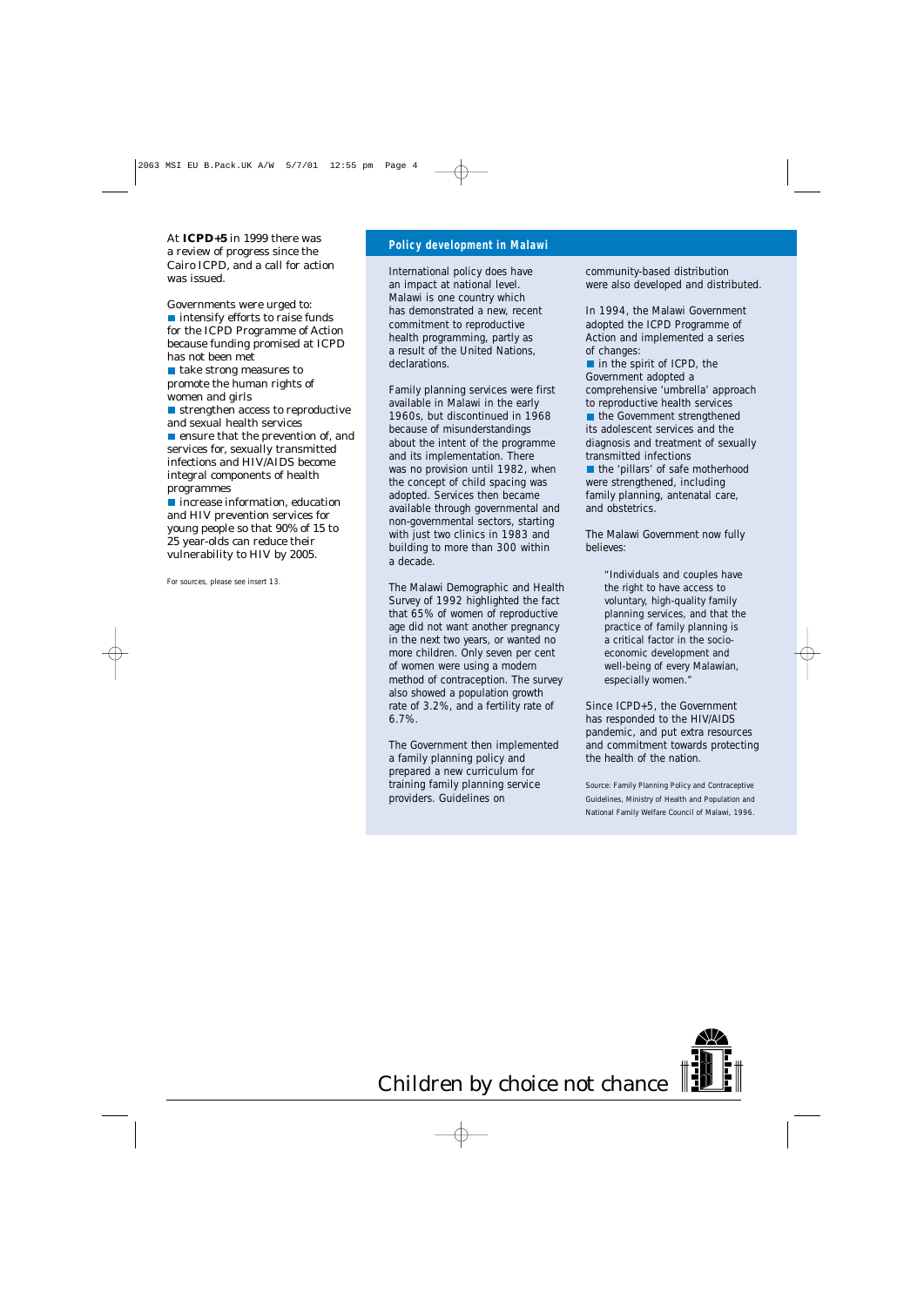At **ICPD+5** in 1999 there was a review of progress since the Cairo ICPD, and a call for action was issued.

Governments were urged to: ■ intensify efforts to raise funds for the ICPD Programme of Action because funding promised at ICPD has not been met

■ take strong measures to promote the human rights of women and girls

■ strengthen access to reproductive and sexual health services

 $\blacksquare$  ensure that the prevention of, and services for, sexually transmitted infections and HIV/AIDS become integral components of health programmes

**n** increase information, education and HIV prevention services for young people so that 90% of 15 to 25 year-olds can reduce their vulnerability to HIV by 2005.

For sources, please see insert 13.

#### **Policy development in Malawi**

International policy does have an impact at national level. Malawi is one country which has demonstrated a new, recent commitment to reproductive health programming, partly as a result of the United Nations, declarations.

Family planning services were first available in Malawi in the early 1960s, but discontinued in 1968 because of misunderstandings about the intent of the programme and its implementation. There was no provision until 1982, when the concept of child spacing was adopted. Services then became available through governmental and non-governmental sectors, starting with just two clinics in 1983 and building to more than 300 within a decade.

The Malawi Demographic and Health Survey of 1992 highlighted the fact that 65% of women of reproductive age did not want another pregnancy in the next two years, or wanted no more children. Only seven per cent of women were using a modern method of contraception. The survey also showed a population growth rate of 3.2%, and a fertility rate of 6.7%.

The Government then implemented a family planning policy and prepared a new curriculum for training family planning service providers. Guidelines on

community-based distribution were also developed and distributed.

In 1994, the Malawi Government adopted the ICPD Programme of Action and implemented a series of changes:

 $\blacksquare$  in the spirit of ICPD, the Government adopted a comprehensive 'umbrella' approach to reproductive health services

■ the Government strengthened its adolescent services and the diagnosis and treatment of sexually transmitted infections

the 'pillars' of safe motherhood were strengthened, including family planning, antenatal care, and obstetrics.

The Malawi Government now fully believes:

> *"Individuals and couples have the right to have access to voluntary, high-quality family planning services, and that the practice of family planning is a critical factor in the socioeconomic development and well-being of every Malawian, especially women."*

Since ICPD+5, the Government has responded to the HIV/AIDS pandemic, and put extra resources and commitment towards protecting the health of the nation.

Source: *Family Planning Policy and Contraceptive Guidelines*, Ministry of Health and Population and National Family Welfare Council of Malawi, 1996.

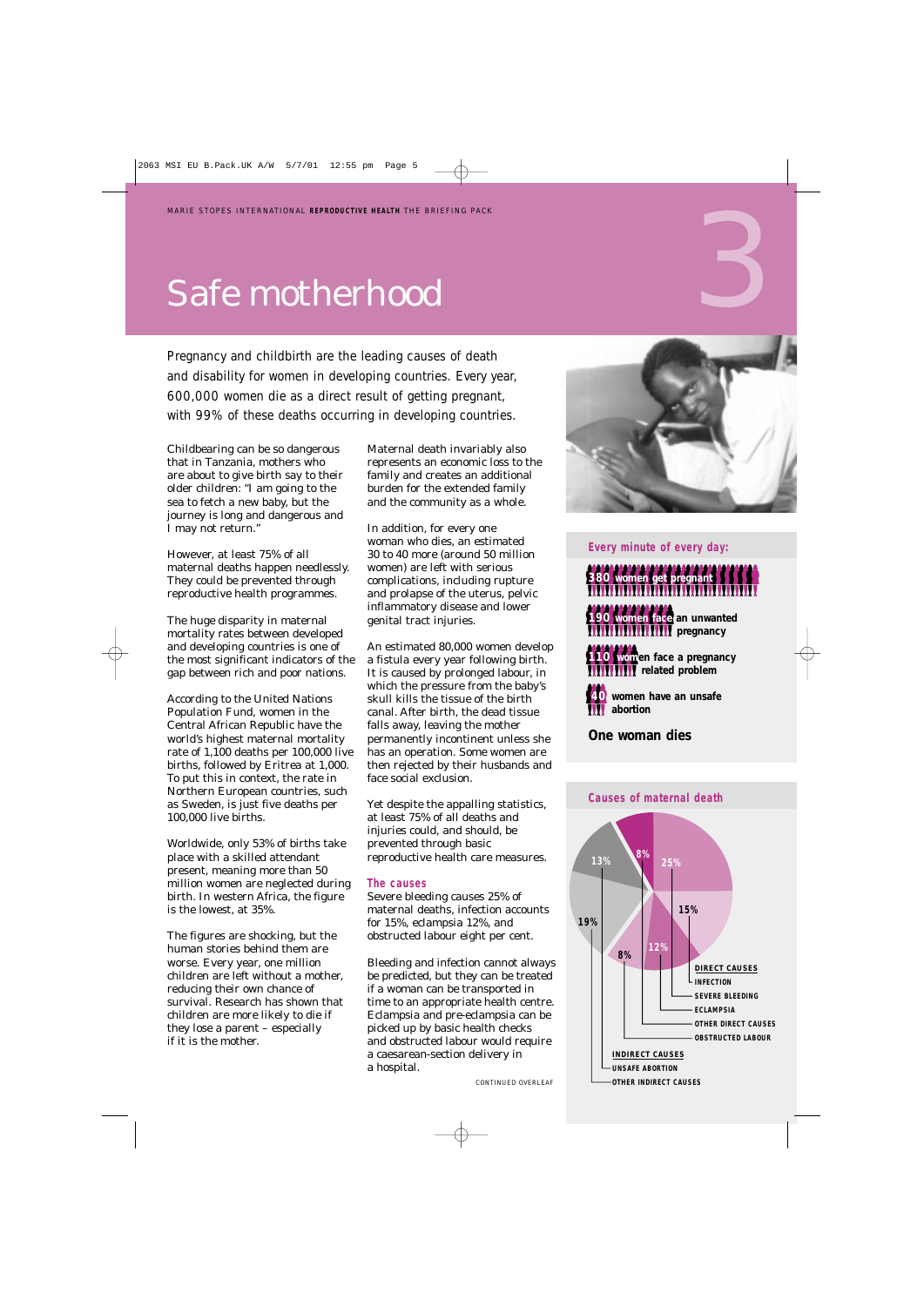## Safe motherhood

Pregnancy and childbirth are the leading causes of death and disability for women in developing countries. Every year, 600,000 women die as a direct result of getting pregnant, with 99% of these deaths occurring in developing countries.

Childbearing can be so dangerous that in Tanzania, mothers who are about to give birth say to their older children: "I am going to the sea to fetch a new baby, but the journey is long and dangerous and I may not return."

However, at least 75% of all maternal deaths happen needlessly. They could be prevented through reproductive health programmes.

The huge disparity in maternal mortality rates between developed and developing countries is one of the most significant indicators of the gap between rich and poor nations.

According to the United Nations Population Fund, women in the Central African Republic have the world's highest maternal mortality rate of 1,100 deaths per 100,000 live births, followed by Eritrea at 1,000. To put this in context, the rate in Northern European countries, such as Sweden, is just five deaths per 100,000 live births.

Worldwide, only 53% of births take place with a skilled attendant present, meaning more than 50 million women are neglected during birth. In western Africa, the figure is the lowest, at 35%.

The figures are shocking, but the human stories behind them are worse. Every year, one million children are left without a mother, reducing their own chance of survival. Research has shown that children are more likely to die if they lose a parent – especially if it is the mother.

Maternal death invariably also represents an economic loss to the family and creates an additional burden for the extended family and the community as a whole.

In addition, for every one woman who dies, an estimated 30 to 40 more (around 50 million women) are left with serious complications, including rupture and prolapse of the uterus, pelvic inflammatory disease and lower genital tract injuries.

An estimated 80,000 women develop a fistula every year following birth. It is caused by prolonged labour, in which the pressure from the baby's skull kills the tissue of the birth canal. After birth, the dead tissue falls away, leaving the mother permanently incontinent unless she has an operation. Some women are then rejected by their husbands and face social exclusion.

Yet despite the appalling statistics, at least 75% of all deaths and injuries could, and should, be prevented through basic reproductive health care measures.

#### **The causes**

Severe bleeding causes 25% of maternal deaths, infection accounts for 15%, eclampsia 12%, and obstructed labour eight per cent.

Bleeding and infection cannot always be predicted, but they can be treated if a woman can be transported in time to an appropriate health centre. Eclampsia and pre-eclampsia can be picked up by basic health checks and obstructed labour would require a caesarean-section delivery in a hospital.

*CONTINUED OVERLEAF*



3

#### **Every minute of every day:**

#### `````````````````````````````````````` **380 women get pregnant** ``````````````````` **190 women face an unwanted pregnancy**

**110 Wom**en face a pregnancy<br>**1111111111** related problem *<u>rifile</u>* related problem

**40** women have an unsafe **abortion**

**One woman dies**

#### **Causes of maternal death**

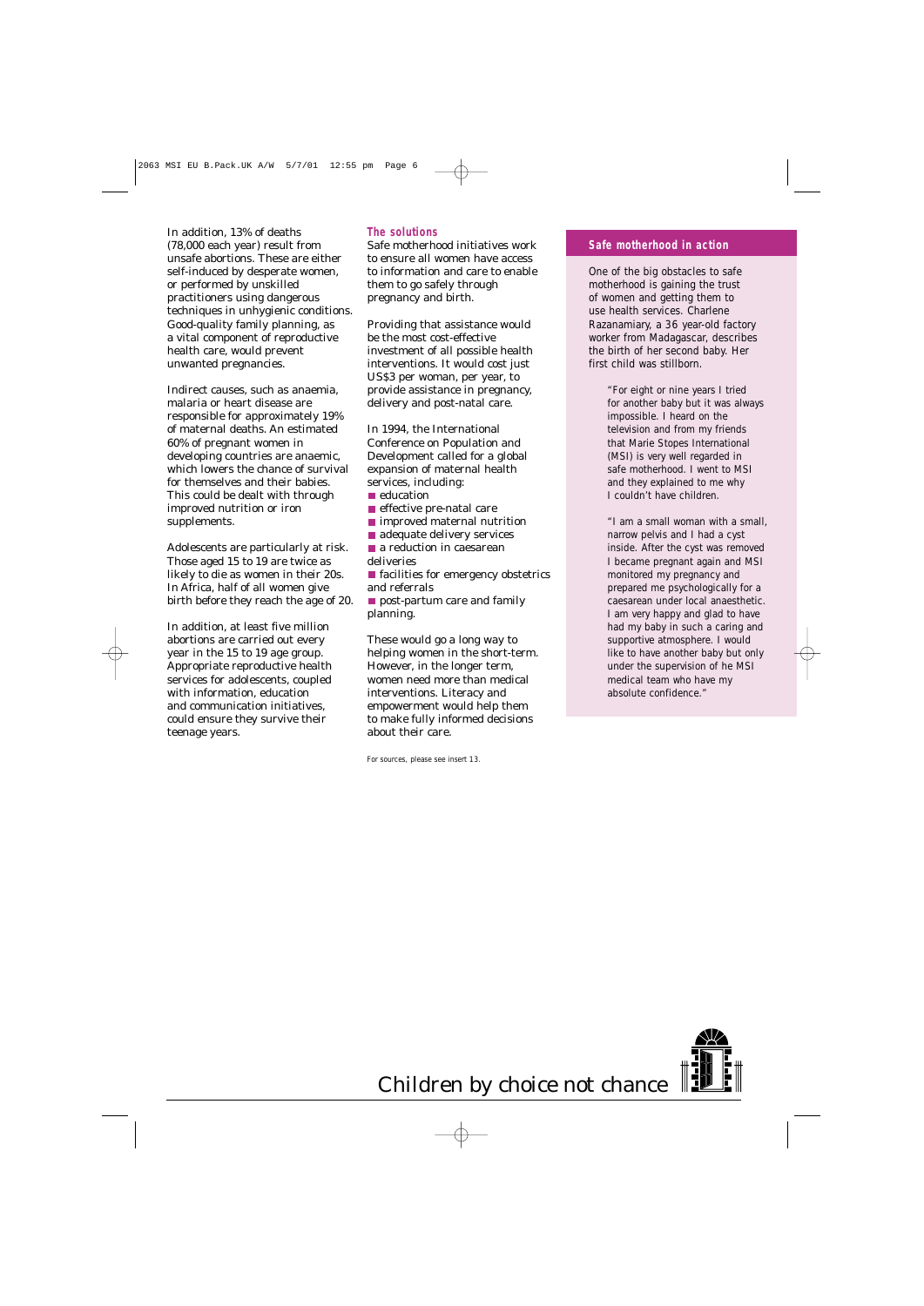In addition, 13% of deaths (78,000 each year) result from unsafe abortions. These are either self-induced by desperate women, or performed by unskilled practitioners using dangerous techniques in unhygienic conditions. Good-quality family planning, as a vital component of reproductive health care, would prevent unwanted pregnancies.

Indirect causes, such as anaemia, malaria or heart disease are responsible for approximately 19% of maternal deaths. An estimated 60% of pregnant women in developing countries are anaemic, which lowers the chance of survival for themselves and their babies. This could be dealt with through improved nutrition or iron supplements.

Adolescents are particularly at risk. Those aged 15 to 19 are twice as likely to die as women in their 20s. In Africa, half of all women give birth before they reach the age of 20.

In addition, at least five million abortions are carried out every year in the 15 to 19 age group. Appropriate reproductive health services for adolescents, coupled with information, education and communication initiatives, could ensure they survive their teenage years.

#### **The solutions**

Safe motherhood initiatives work to ensure all women have access to information and care to enable them to go safely through pregnancy and birth.

Providing that assistance would be the most cost-effective investment of all possible health interventions. It would cost just US\$3 per woman, per year, to provide assistance in pregnancy, delivery and post-natal care.

In 1994, the International Conference on Population and Development called for a global expansion of maternal health services, including:

- $\blacksquare$  education
- $\blacksquare$ effective pre-natal care
- **I** improved maternal nutrition
- adequate delivery services
- a reduction in caesarean deliveries
- $\blacksquare$  facilities for emergency obstetrics and referrals
- **post-partum care and family** planning.

These would go a long way to helping women in the short-term. However, in the longer term, women need more than medical interventions. Literacy and empowerment would help them to make fully informed decisions about their care.

For sources, please see insert 13.

#### **Safe motherhood in action**

One of the big obstacles to safe motherhood is gaining the trust of women and getting them to use health services. Charlene Razanamiary, a 36 year-old factory worker from Madagascar, describes the birth of her second baby. Her first child was stillborn.

> *"For eight or nine years I tried for another baby but it was always impossible. I heard on the television and from my friends that Marie Stopes International (MSI) is very well regarded in safe motherhood. I went to MSI and they explained to me why I couldn't have children.*

*"I am a small woman with a small, narrow pelvis and I had a cyst inside. After the cyst was removed I became pregnant again and MSI monitored my pregnancy and prepared me psychologically for a caesarean under local anaesthetic. I am very happy and glad to have had my baby in such a caring and supportive atmosphere. I would like to have another baby but only under the supervision of he MSI medical team who have my absolute confidence."*

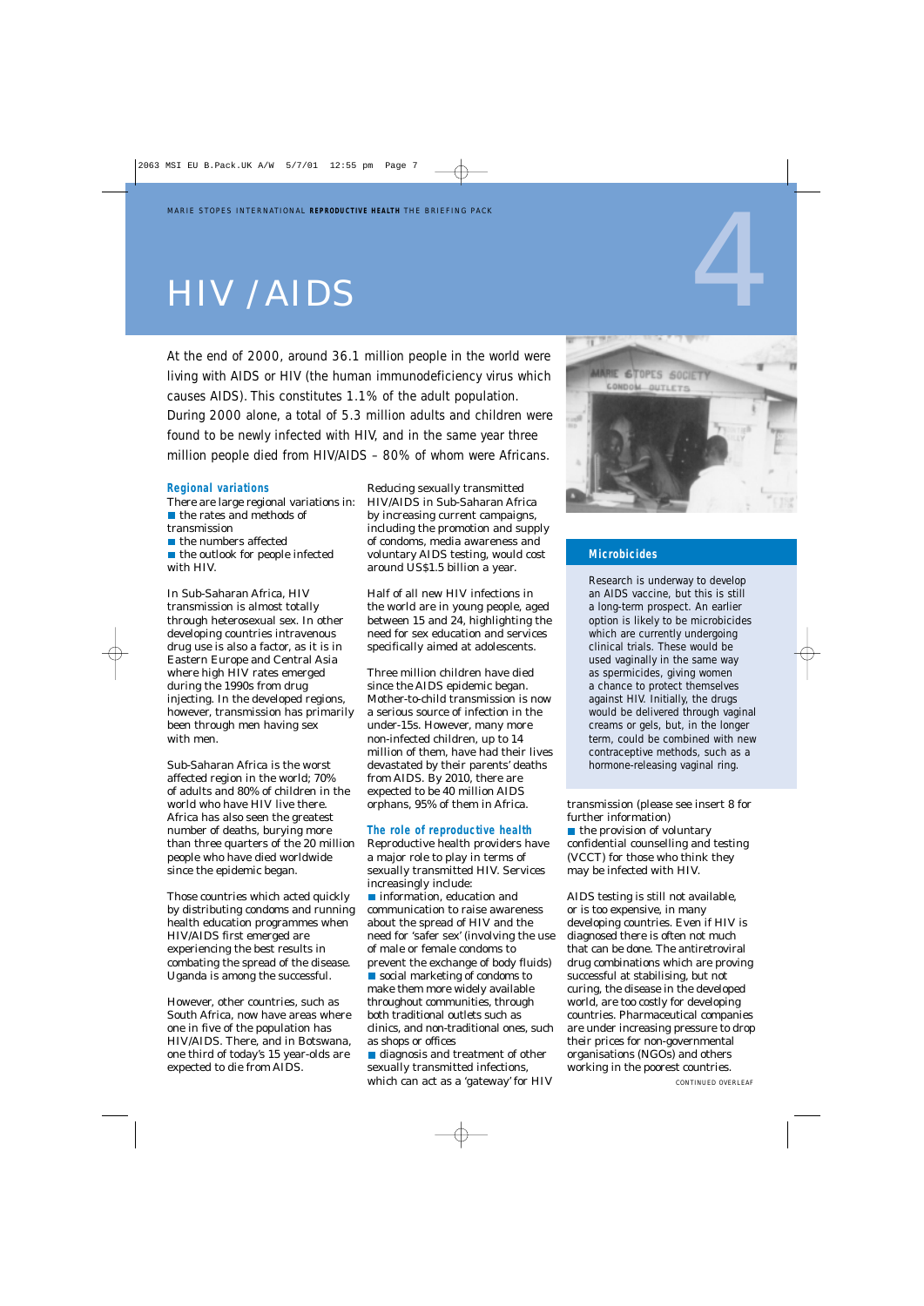## HIV / AIDS

At the end of 2000, around 36.1 million people in the world were living with AIDS or HIV (the human immunodeficiency virus which causes AIDS). This constitutes 1.1% of the adult population. During 2000 alone, a total of 5.3 million adults and children were found to be newly infected with HIV, and in the same year three million people died from HIV/AIDS – 80% of whom were Africans.

#### **Regional variations**

There are large regional variations in: ■ the rates and methods of transmission ■ the numbers affected

 $\blacksquare$  the outlook for people infected with HIV.

In Sub-Saharan Africa, HIV transmission is almost totally through heterosexual sex. In other developing countries intravenous drug use is also a factor, as it is in Eastern Europe and Central Asia where high HIV rates emerged during the 1990s from drug injecting. In the developed regions, however, transmission has primarily been through men having sex with men.

Sub-Saharan Africa is the worst affected region in the world; 70% of adults and 80% of children in the world who have HIV live there. Africa has also seen the greatest number of deaths, burying more than three quarters of the 20 million people who have died worldwide since the epidemic began.

Those countries which acted quickly by distributing condoms and running health education programmes when HIV/AIDS first emerged are experiencing the best results in combating the spread of the disease. Uganda is among the successful.

However, other countries, such as South Africa, now have areas where one in five of the population has HIV/AIDS. There, and in Botswana, one third of today's 15 year-olds are expected to die from AIDS.

Reducing sexually transmitted HIV/AIDS in Sub-Saharan Africa by increasing current campaigns, including the promotion and supply of condoms, media awareness and voluntary AIDS testing, would cost around US\$1.5 billion a year.

Half of all new HIV infections in the world are in young people, aged between 15 and 24, highlighting the need for sex education and services specifically aimed at adolescents.

Three million children have died since the AIDS epidemic began. Mother-to-child transmission is now a serious source of infection in the under-15s. However, many more non-infected children, up to 14 million of them, have had their lives devastated by their parents' deaths from AIDS. By 2010, there are expected to be 40 million AIDS orphans, 95% of them in Africa.

#### **The role of reproductive health**

Reproductive health providers have a major role to play in terms of sexually transmitted HIV. Services increasingly include:

**n** information, education and communication to raise awareness about the spread of HIV and the need for 'safer sex' (involving the use of male or female condoms to prevent the exchange of body fluids) social marketing of condoms to make them more widely available throughout communities, through both traditional outlets such as clinics, and non-traditional ones, such as shops or offices

diagnosis and treatment of other sexually transmitted infections, which can act as a 'gateway' for HIV



#### **Microbicides**

Research is underway to develop an AIDS vaccine, but this is still a long-term prospect. An earlier option is likely to be microbicides which are currently undergoing clinical trials. These would be used vaginally in the same way as spermicides, giving women a chance to protect themselves against HIV. Initially, the drugs would be delivered through vaginal creams or gels, but, in the longer term, could be combined with new contraceptive methods, such as a hormone-releasing vaginal ring.

transmission (please see insert 8 for further information)

 $\blacksquare$  the provision of voluntary confidential counselling and testing (VCCT) for those who think they may be infected with HIV.

AIDS testing is still not available, or is too expensive, in many developing countries. Even if HIV is diagnosed there is often not much that can be done. The antiretroviral drug combinations which are proving successful at stabilising, but not curing, the disease in the developed world, are too costly for developing countries. Pharmaceutical companies are under increasing pressure to drop their prices for non-governmental organisations (NGOs) and others working in the poorest countries.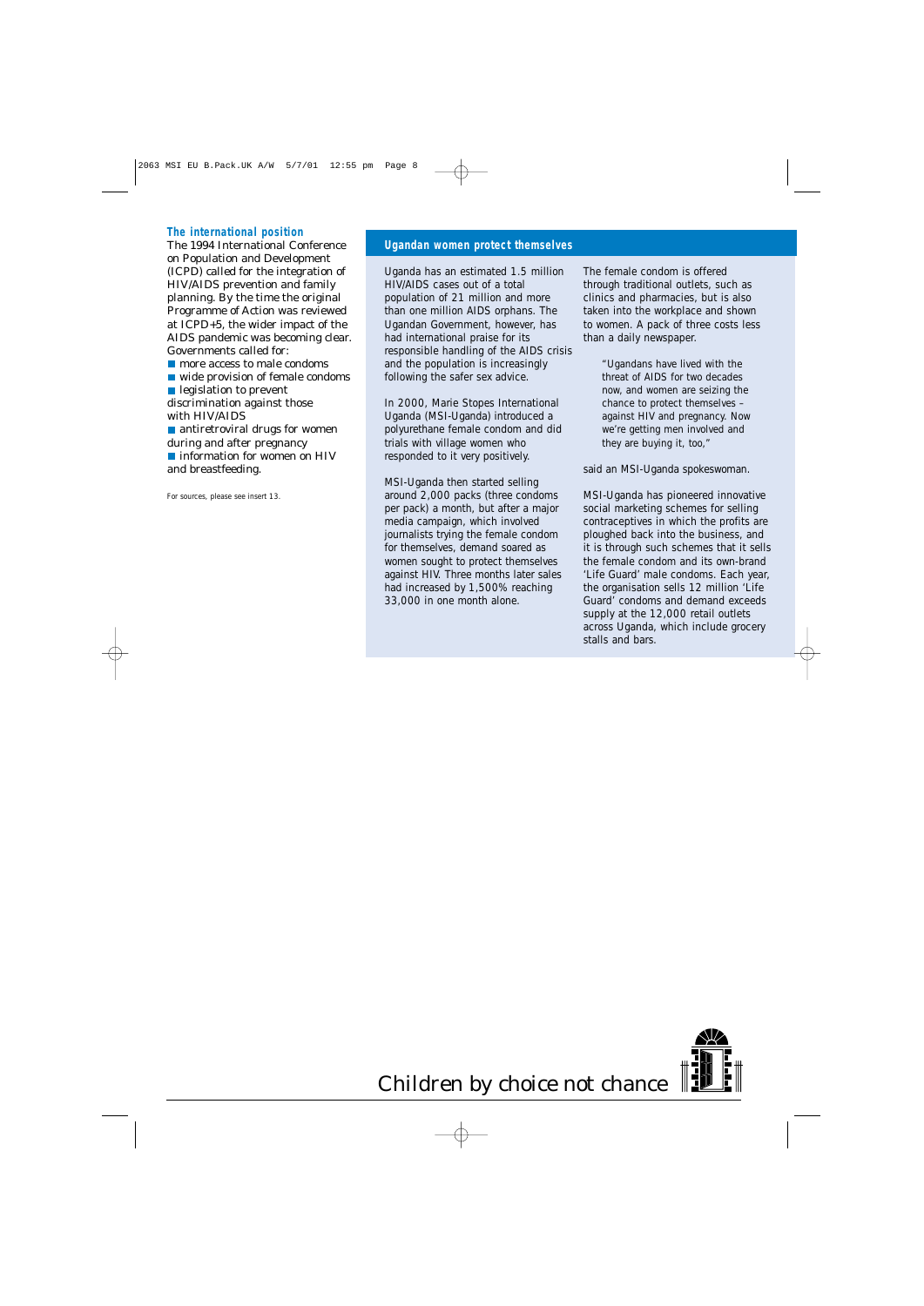#### **The international position**

The 1994 International Conference on Population and Development (ICPD) called for the integration of HIV/AIDS prevention and family planning. By the time the original Programme of Action was reviewed at ICPD+5, the wider impact of the AIDS pandemic was becoming clear. Governments called for:

- **n** more access to male condoms
- wide provision of female condoms

legislation to prevent

discrimination against those with HIV/AIDS

■ antiretroviral drugs for women during and after pregnancy **n** information for women on HIV and breastfeeding.

For sources, please see insert 13.

#### **Ugandan women protect themselves**

Uganda has an estimated 1.5 million HIV/AIDS cases out of a total population of 21 million and more than one million AIDS orphans. The Ugandan Government, however, has had international praise for its responsible handling of the AIDS crisis and the population is increasingly following the safer sex advice.

In 2000, Marie Stopes International Uganda (MSI-Uganda) introduced a polyurethane female condom and did trials with village women who responded to it very positively.

MSI-Uganda then started selling around 2,000 packs (three condoms per pack) a month, but after a major media campaign, which involved journalists trying the female condom for themselves, demand soared as women sought to protect themselves against HIV. Three months later sales had increased by 1,500% reaching 33,000 in one month alone.

The female condom is offered through traditional outlets, such as clinics and pharmacies, but is also taken into the workplace and shown to women. A pack of three costs less than a daily newspaper.

> *"Ugandans have lived with the threat of AIDS for two decades now, and women are seizing the chance to protect themselves – against HIV and pregnancy. Now we're getting men involved and they are buying it, too,"*

said an MSI-Uganda spokeswoman.

MSI-Uganda has pioneered innovative social marketing schemes for selling contraceptives in which the profits are ploughed back into the business, and it is through such schemes that it sells the female condom and its own-brand 'Life Guard' male condoms. Each year, the organisation sells 12 million 'Life Guard' condoms and demand exceeds supply at the 12,000 retail outlets across Uganda, which include grocery stalls and bars.

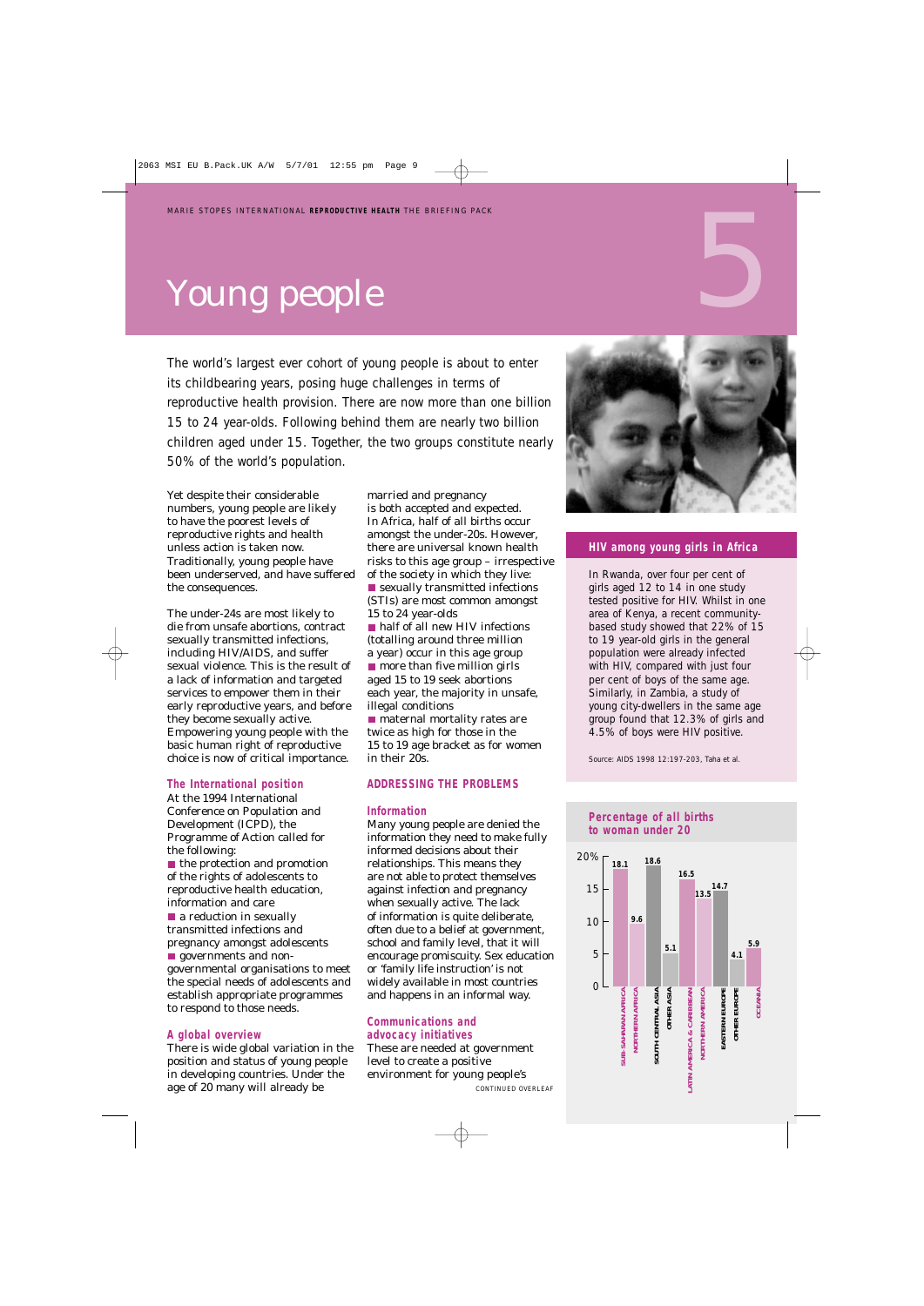# Young people

The world's largest ever cohort of young people is about to enter its childbearing years, posing huge challenges in terms of reproductive health provision. There are now more than one billion 15 to 24 year-olds. Following behind them are nearly two billion children aged under 15. Together, the two groups constitute nearly 50% of the world's population.

Yet despite their considerable numbers, young people are likely to have the poorest levels of reproductive rights and health unless action is taken now. Traditionally, young people have been underserved, and have suffered the consequences.

The under-24s are most likely to die from unsafe abortions, contract sexually transmitted infections, including HIV/AIDS, and suffer sexual violence. This is the result of a lack of information and targeted services to empower them in their early reproductive years, and before they become sexually active. Empowering young people with the basic human right of reproductive choice is now of critical importance.

#### **The International position**

At the 1994 International Conference on Population and Development (ICPD), the Programme of Action called for the following:

 $\blacksquare$  the protection and promotion of the rights of adolescents to reproductive health education, information and care

**a** reduction in sexually transmitted infections and pregnancy amongst adolescents

**governments and non**governmental organisations to meet the special needs of adolescents and establish appropriate programmes to respond to those needs.

#### **A global overview**

There is wide global variation in the position and status of young people in developing countries. Under the age of 20 many will already be

married and pregnancy is both accepted and expected. In Africa, half of all births occur amongst the under-20s. However, there are universal known health risks to this age group – irrespective of the society in which they live: ■ sexually transmitted infections (STIs) are most common amongst 15 to 24 year-olds ■ half of all new HIV infections (totalling around three million a year) occur in this age group  $\blacksquare$  more than five million girls aged 15 to 19 seek abortions each year, the majority in unsafe, illegal conditions **n** maternal mortality rates are

twice as high for those in the 15 to 19 age bracket as for women in their 20s.

#### **ADDRESSING THE PROBLEMS**

#### **Information**

Many young people are denied the information they need to make fully informed decisions about their relationships. This means they are not able to protect themselves against infection and pregnancy when sexually active. The lack of information is quite deliberate, often due to a belief at government, school and family level, that it will encourage promiscuity. Sex education or 'family life instruction' is not widely available in most countries and happens in an informal way.

#### **Communications and advocacy initiatives**

These are needed at government level to create a positive environment for young people's

*CONTINUED OVERLEAF*



5

#### **HIV among young girls in Africa**

In Rwanda, over four per cent of girls aged 12 to 14 in one study tested positive for HIV. Whilst in one area of Kenya, a recent communitybased study showed that 22% of 15 to 19 year-old girls in the general population were already infected with HIV, compared with just four per cent of boys of the same age. Similarly, in Zambia, a study of young city-dwellers in the same age group found that 12.3% of girls and 4.5% of boys were HIV positive.

Source: *AIDS 1998* 12:197-203, Taha et al.

#### **Percentage of all births to woman under 20**

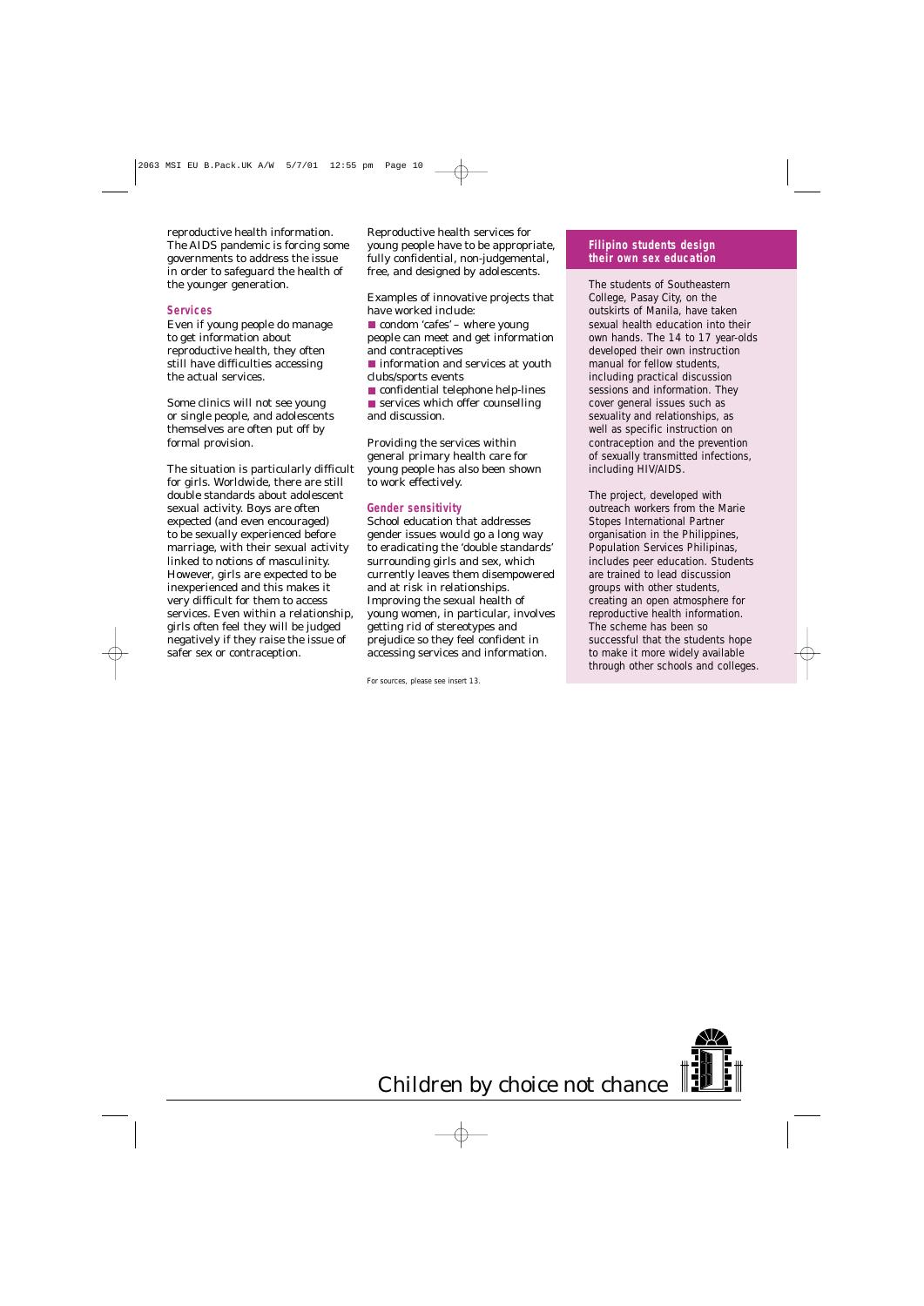reproductive health information. The AIDS pandemic is forcing some governments to address the issue in order to safeguard the health of the younger generation.

#### **Services**

Even if young people do manage to get information about reproductive health, they often still have difficulties accessing the actual services.

Some clinics will not see young or single people, and adolescents themselves are often put off by formal provision.

The situation is particularly difficult for girls. Worldwide, there are still double standards about adolescent sexual activity. Boys are often expected (and even encouraged) to be sexually experienced before marriage, with their sexual activity linked to notions of masculinity. However, girls are expected to be inexperienced and this makes it very difficult for them to access services. Even within a relationship, girls often feel they will be judged negatively if they raise the issue of safer sex or contraception.

Reproductive health services for young people have to be appropriate, fully confidential, non-judgemental, free, and designed by adolescents.

Examples of innovative projects that have worked include:

condom 'cafes' – where young people can meet and get information and contraceptives

■ information and services at youth clubs/sports events

**CONFIDENTIAL TEAM** confidential telephone help-lines ■ services which offer counselling and discussion.

Providing the services within general primary health care for young people has also been shown to work effectively.

#### **Gender sensitivity**

School education that addresses gender issues would go a long way to eradicating the 'double standards' surrounding girls and sex, which currently leaves them disempowered and at risk in relationships. Improving the sexual health of young women, in particular, involves getting rid of stereotypes and prejudice so they feel confident in accessing services and information.

For sources, please see insert 13.

#### **Filipino students design their own sex education**

The students of Southeastern College, Pasay City, on the outskirts of Manila, have taken sexual health education into their own hands. The 14 to 17 year-olds developed their own instruction manual for fellow students, including practical discussion sessions and information. They cover general issues such as sexuality and relationships, as well as specific instruction on contraception and the prevention of sexually transmitted infections, including HIV/AIDS.

The project, developed with outreach workers from the Marie Stopes International Partner organisation in the Philippines, Population Services Philipinas, includes peer education. Students are trained to lead discussion groups with other students, creating an open atmosphere for reproductive health information. The scheme has been so successful that the students hope to make it more widely available through other schools and colleges.



Children by choice not chance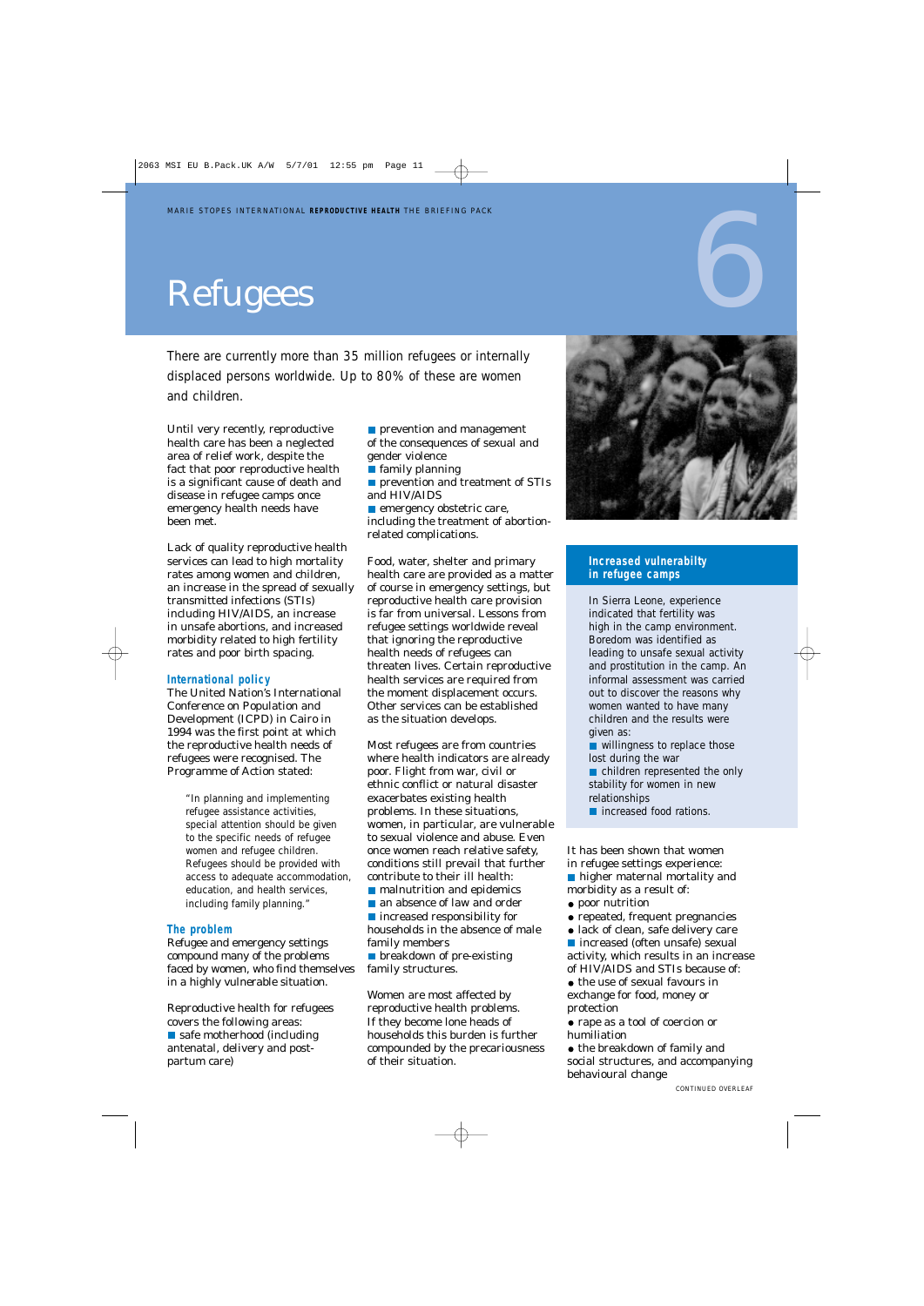# Refugees

There are currently more than 35 million refugees or internally displaced persons worldwide. Up to 80% of these are women and children.

Until very recently, reproductive health care has been a neglected area of relief work, despite the fact that poor reproductive health is a significant cause of death and disease in refugee camps once emergency health needs have been met.

Lack of quality reproductive health services can lead to high mortality rates among women and children, an increase in the spread of sexually transmitted infections (STIs) including HIV/AIDS, an increase in unsafe abortions, and increased morbidity related to high fertility rates and poor birth spacing.

#### **International policy**

The United Nation's International Conference on Population and Development (ICPD) in Cairo in 1994 was the first point at which the reproductive health needs of refugees were recognised. The Programme of Action stated:

> *"In planning and implementing refugee assistance activities, special attention should be given to the specific needs of refugee women and refugee children. Refugees should be provided with access to adequate accommodation, education, and health services, including family planning."*

#### **The problem**

Refugee and emergency settings compound many of the problems faced by women, who find themselves in a highly vulnerable situation.

Reproductive health for refugees covers the following areas: safe motherhood (including antenatal, delivery and postpartum care)

**prevention and management** of the consequences of sexual and gender violence

- family planning
- **prevention and treatment of STIs** and HIV/AIDS

**emergency obstetric care,** including the treatment of abortionrelated complications.

Food, water, shelter and primary health care are provided as a matter of course in emergency settings, but reproductive health care provision is far from universal. Lessons from refugee settings worldwide reveal that ignoring the reproductive health needs of refugees can threaten lives. Certain reproductive health services are required from the moment displacement occurs. Other services can be established as the situation develops.

Most refugees are from countries where health indicators are already poor. Flight from war, civil or ethnic conflict or natural disaster exacerbates existing health problems. In these situations, women, in particular, are vulnerable to sexual violence and abuse. Even once women reach relative safety, conditions still prevail that further contribute to their ill health:

**n** malnutrition and epidemics

an absence of law and order ■ increased responsibility for households in the absence of male family members

**Depaysion** breakdown of pre-existing family structures.

Women are most affected by reproductive health problems. If they become lone heads of households this burden is further compounded by the precariousness of their situation.



#### **Increased vulnerabilty in refugee camps**

In Sierra Leone, experience indicated that fertility was high in the camp environment. Boredom was identified as leading to unsafe sexual activity and prostitution in the camp. An informal assessment was carried out to discover the reasons why women wanted to have many children and the results were given as:

willingness to replace those lost during the war

children represented the only stability for women in new relationships

■ increased food rations.

It has been shown that women in refugee settings experience:

higher maternal mortality and morbidity as a result of:

- $\bullet$  poor nutrition
- repeated, frequent pregnancies
- lack of clean, safe delivery care

■ increased (often unsafe) sexual activity, which results in an increase of HIV/AIDS and STIs because of:

• the use of sexual favours in exchange for food, money or protection

rape as a tool of coercion or humiliation

 $\bullet$  the breakdown of family and social structures, and accompanying behavioural change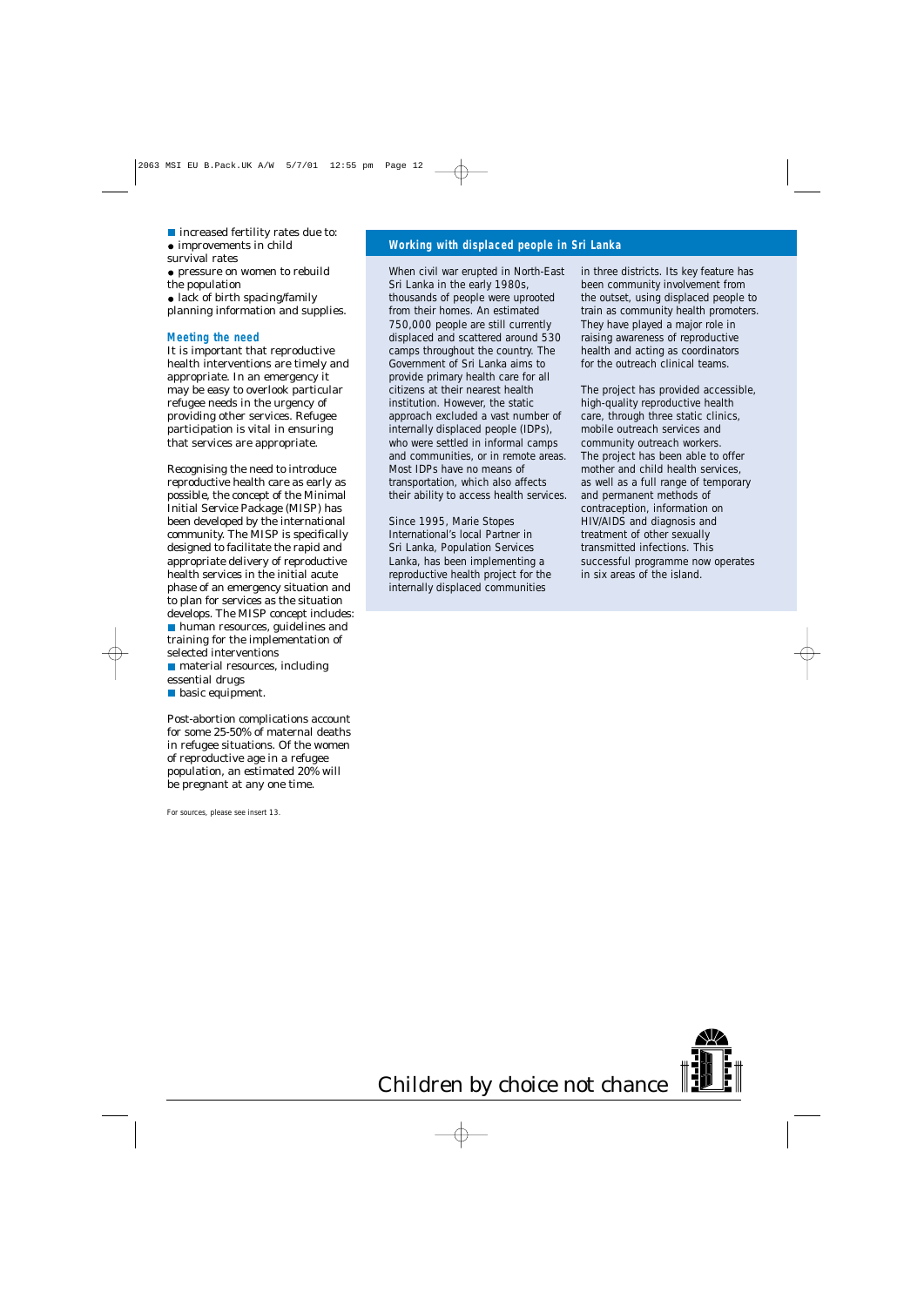■ increased fertility rates due to:

• improvements in child

survival rates

pressure on women to rebuild the population

lack of birth spacing/family planning information and supplies.

#### **Meeting the need**

It is important that reproductive health interventions are timely and appropriate. In an emergency it may be easy to overlook particular refugee needs in the urgency of providing other services. Refugee participation is vital in ensuring that services are appropriate.

Recognising the need to introduce reproductive health care as early as possible, the concept of the Minimal Initial Service Package (MISP) has been developed by the international community. The MISP is specifically designed to facilitate the rapid and appropriate delivery of reproductive health services in the initial acute phase of an emergency situation and to plan for services as the situation develops. The MISP concept includes: **human resources, guidelines and** training for the implementation of selected interventions **n** material resources, including

essential drugs

**basic equipment.** 

Post-abortion complications account for some 25-50% of maternal deaths in refugee situations. Of the women of reproductive age in a refugee population, an estimated 20% will be pregnant at any one time.

For sources, please see insert 13.

#### **Working with displaced people in Sri Lanka**

When civil war erupted in North-East Sri Lanka in the early 1980s, thousands of people were uprooted from their homes. An estimated 750,000 people are still currently displaced and scattered around 530 camps throughout the country. The Government of Sri Lanka aims to provide primary health care for all citizens at their nearest health institution. However, the static approach excluded a vast number of internally displaced people (IDPs), who were settled in informal camps and communities, or in remote areas. Most IDPs have no means of transportation, which also affects their ability to access health services.

Since 1995, Marie Stopes International's local Partner in Sri Lanka, Population Services Lanka, has been implementing a reproductive health project for the internally displaced communities

in three districts. Its key feature has been community involvement from the outset, using displaced people to train as community health promoters. They have played a major role in raising awareness of reproductive health and acting as coordinators for the outreach clinical teams.

The project has provided accessible, high-quality reproductive health care, through three static clinics, mobile outreach services and community outreach workers. The project has been able to offer mother and child health services, as well as a full range of temporary and permanent methods of contraception, information on HIV/AIDS and diagnosis and treatment of other sexually transmitted infections. This successful programme now operates in six areas of the island.

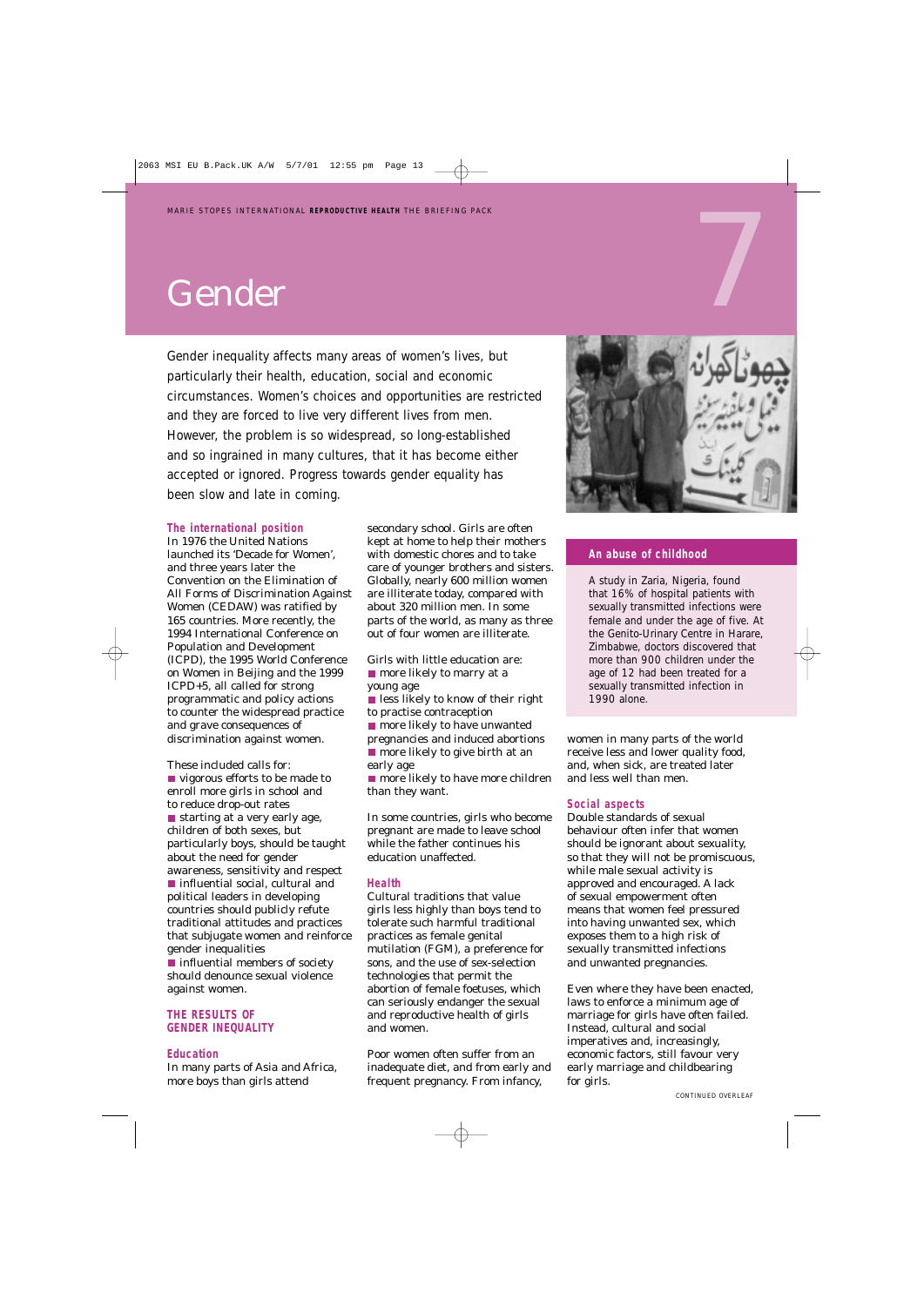## Gender

Gender inequality affects many areas of women's lives, but particularly their health, education, social and economic circumstances. Women's choices and opportunities are restricted and they are forced to live very different lives from men. However, the problem is so widespread, so long-established and so ingrained in many cultures, that it has become either accepted or ignored. Progress towards gender equality has been slow and late in coming.

#### **The international position**

In 1976 the United Nations launched its 'Decade for Women', and three years later the Convention on the Elimination of All Forms of Discrimination Against Women (CEDAW) was ratified by 165 countries. More recently, the 1994 International Conference on Population and Development (ICPD), the 1995 World Conference on Women in Beijing and the 1999 ICPD+5, all called for strong programmatic and policy actions to counter the widespread practice and grave consequences of discrimination against women.

These included calls for: vigorous efforts to be made to enroll more girls in school and to reduce drop-out rates  $\blacksquare$  starting at a very early age, children of both sexes, but particularly boys, should be taught about the need for gender awareness, sensitivity and respect ■ influential social, cultural and political leaders in developing countries should publicly refute traditional attitudes and practices that subjugate women and reinforce gender inequalities  $\blacksquare$  influential members of society should denounce sexual violence

against women. **THE RESULTS OF** 

#### **GENDER INEQUALITY**

#### **Education**

In many parts of Asia and Africa, more boys than girls attend

secondary school. Girls are often kept at home to help their mothers with domestic chores and to take care of younger brothers and sisters. Globally, nearly 600 million women are illiterate today, compared with about 320 million men. In some parts of the world, as many as three out of four women are illiterate.

Girls with little education are: **n** more likely to marry at a young age

**less likely to know of their right** to practise contraception

**n** more likely to have unwanted pregnancies and induced abortions **n** more likely to give birth at an early age

■ more likely to have more children than they want.

In some countries, girls who become pregnant are made to leave school while the father continues his education unaffected.

#### **Health**

Cultural traditions that value girls less highly than boys tend to tolerate such harmful traditional practices as female genital mutilation (FGM), a preference for sons, and the use of sex-selection technologies that permit the abortion of female foetuses, which can seriously endanger the sexual and reproductive health of girls and women.

Poor women often suffer from an inadequate diet, and from early and frequent pregnancy. From infancy,



#### **An abuse of childhood**

A study in Zaria, Nigeria, found that 16% of hospital patients with sexually transmitted infections were female and under the age of five. At the Genito-Urinary Centre in Harare, Zimbabwe, doctors discovered that more than 900 children under the age of 12 had been treated for a sexually transmitted infection in 1990 alone.

women in many parts of the world receive less and lower quality food, and, when sick, are treated later and less well than men.

#### **Social aspects**

Double standards of sexual behaviour often infer that women should be ignorant about sexuality, so that they will not be promiscuous, while male sexual activity is approved and encouraged. A lack of sexual empowerment often means that women feel pressured into having unwanted sex, which exposes them to a high risk of sexually transmitted infections and unwanted pregnancies.

Even where they have been enacted, laws to enforce a minimum age of marriage for girls have often failed. Instead, cultural and social imperatives and, increasingly, economic factors, still favour very early marriage and childbearing for girls.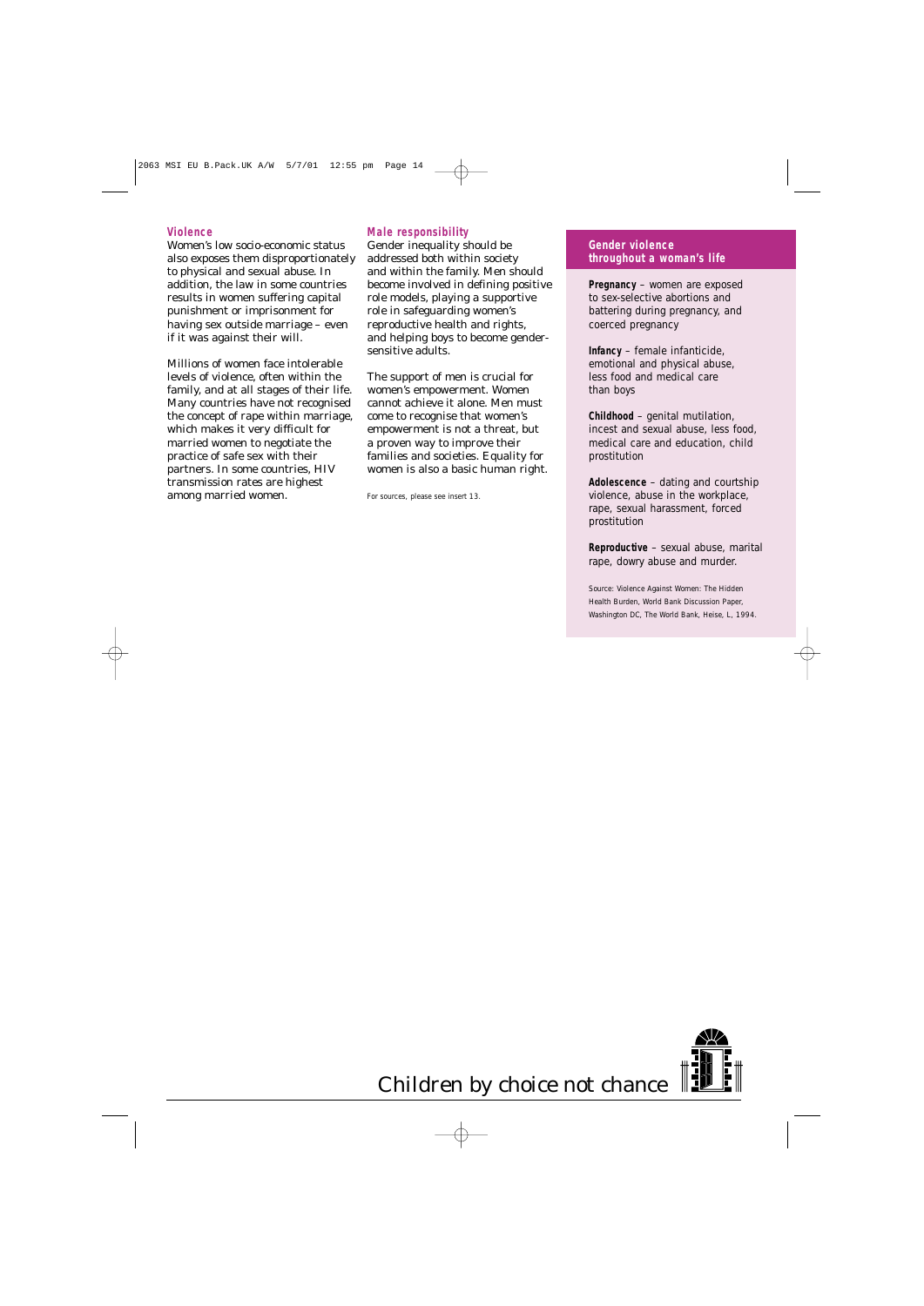#### **Violence**

Women's low socio-economic status also exposes them disproportionately to physical and sexual abuse. In addition, the law in some countries results in women suffering capital punishment or imprisonment for having sex outside marriage – even if it was against their will.

Millions of women face intolerable levels of violence, often within the family, and at all stages of their life. Many countries have not recognised the concept of rape within marriage, which makes it very difficult for married women to negotiate the practice of safe sex with their partners. In some countries, HIV transmission rates are highest among married women.

#### **Male responsibility**

Gender inequality should be addressed both within society and within the family. Men should become involved in defining positive role models, playing a supportive role in safeguarding women's reproductive health and rights, and helping boys to become gendersensitive adults.

The support of men is crucial for women's empowerment. Women cannot achieve it alone. Men must come to recognise that women's empowerment is not a threat, but a proven way to improve their families and societies. Equality for women is also a basic human right.

#### **Gender violence throughout a woman's life**

**Pregnancy** – women are exposed to sex-selective abortions and battering during pregnancy, and coerced pregnancy

**Infancy** – female infanticide, emotional and physical abuse, less food and medical care than boys

**Childhood** – genital mutilation, incest and sexual abuse, less food, medical care and education, child prostitution

**Adolescence** – dating and courtship violence, abuse in the workplace, rape, sexual harassment, forced prostitution

**Reproductive** – sexual abuse, marital rape, dowry abuse and murder.

Source: *Violence Against Women: The Hidden Health Burden*, World Bank Discussion Paper, Washington DC, The World Bank, Heise, L, 1994.



For sources, please see insert 13.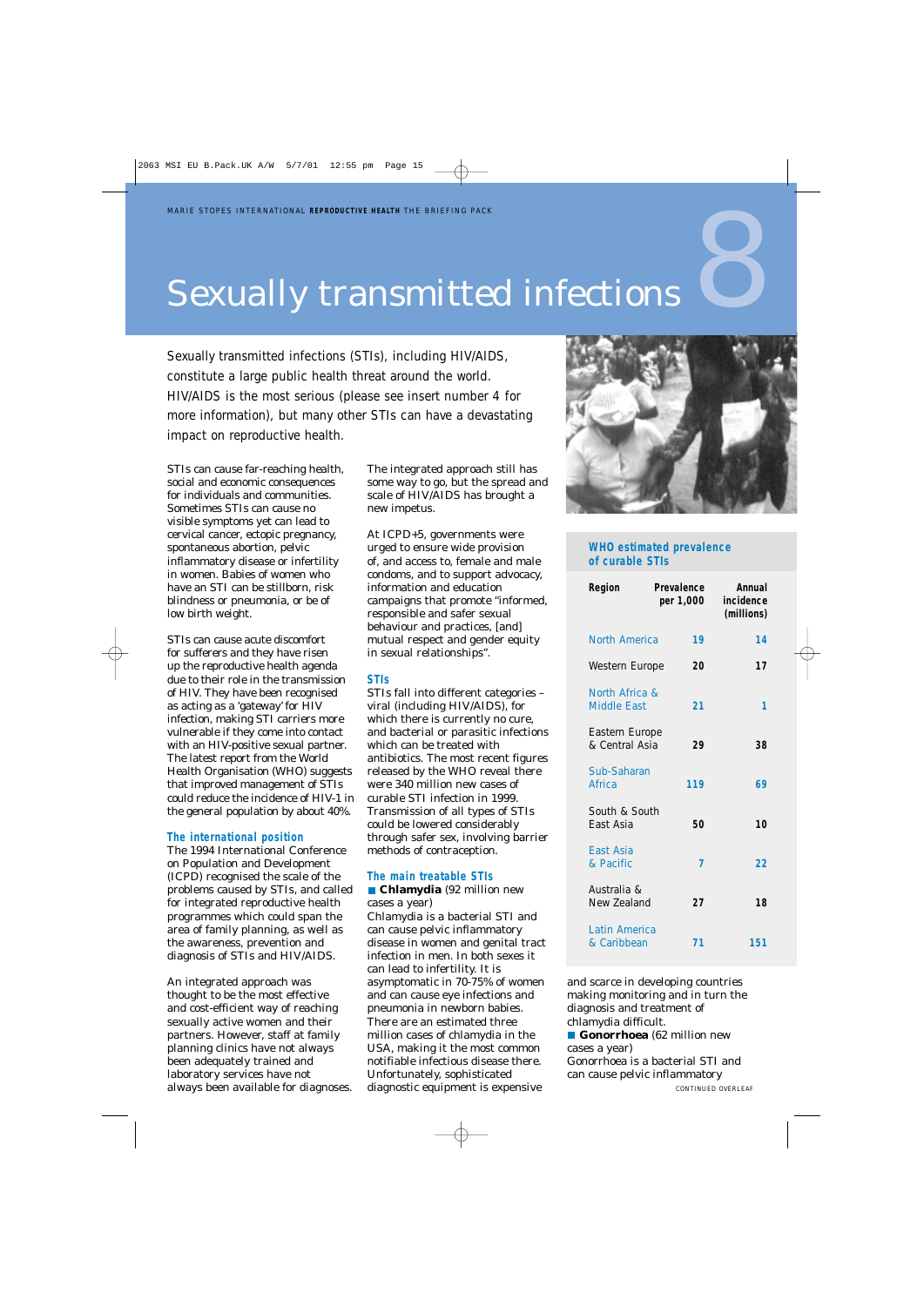## Sexually transmitted infections

Sexually transmitted infections (STIs), including HIV/AIDS, constitute a large public health threat around the world. HIV/AIDS is the most serious (please see insert number 4 for more information), but many other STIs can have a devastating impact on reproductive health.

STIs can cause far-reaching health, social and economic consequences for individuals and communities. Sometimes STIs can cause no visible symptoms yet can lead to cervical cancer, ectopic pregnancy, spontaneous abortion, pelvic inflammatory disease or infertility in women. Babies of women who have an STI can be stillborn, risk blindness or pneumonia, or be of low birth weight.

STIs can cause acute discomfort for sufferers and they have risen up the reproductive health agenda due to their role in the transmission of HIV. They have been recognised as acting as a 'gateway' for HIV infection, making STI carriers more vulnerable if they come into contact with an HIV-positive sexual partner. The latest report from the World Health Organisation (WHO) suggests that improved management of STIs could reduce the incidence of HIV-1 in the general population by about 40%.

#### **The international position**

The 1994 International Conference on Population and Development (ICPD) recognised the scale of the problems caused by STIs, and called for integrated reproductive health programmes which could span the area of family planning, as well as the awareness, prevention and diagnosis of STIs and HIV/AIDS.

An integrated approach was thought to be the most effective and cost-efficient way of reaching sexually active women and their partners. However, staff at family planning clinics have not always been adequately trained and laboratory services have not always been available for diagnoses. The integrated approach still has some way to go, but the spread and scale of HIV/AIDS has brought a new impetus.

At ICPD+5, governments were urged to ensure wide provision of, and access to, female and male condoms, and to support advocacy, information and education campaigns that promote "informed, responsible and safer sexual behaviour and practices, [and] mutual respect and gender equity in sexual relationships".

#### **STIs**

STIs fall into different categories – viral (including HIV/AIDS), for which there is currently no cure, and bacterial or parasitic infections which can be treated with antibiotics. The most recent figures released by the WHO reveal there were 340 million new cases of curable STI infection in 1999. Transmission of all types of STIs could be lowered considerably through safer sex, involving barrier methods of contraception.

#### **The main treatable STIs**

**Chlamydia** (92 million new cases a year) Chlamydia is a bacterial STI and can cause pelvic inflammatory disease in women and genital tract infection in men. In both sexes it can lead to infertility. It is asymptomatic in 70-75% of women and can cause eye infections and pneumonia in newborn babies. There are an estimated three million cases of chlamydia in the USA, making it the most common notifiable infectious disease there. Unfortunately, sophisticated diagnostic equipment is expensive



#### **WHO estimated prevalence of curable STIs**

| Region                               | Prevalence<br>per 1,000 | Annual<br>incidence<br>(millions) |
|--------------------------------------|-------------------------|-----------------------------------|
| North America                        | 19                      | 14                                |
| Western Europe                       | 20                      | 17                                |
| North Africa &<br><b>Middle East</b> | 21                      | ٦                                 |
| Eastern Europe<br>& Central Asia     | 29                      | 38                                |
| Sub-Saharan<br>Africa                | 119                     | 69                                |
| South & South<br>East Asia           | 50                      | 10                                |
| East Asia<br>& Pacific               | 7                       | 22                                |
| Australia &<br>New Zealand           | 27                      | 18                                |
| Latin America<br>& Caribbean         | 71                      | 151                               |

and scarce in developing countries making monitoring and in turn the diagnosis and treatment of chlamydia difficult.

**Gonorrhoea** (62 million new cases a year) Gonorrhoea is a bacterial STI and can cause pelvic inflammatory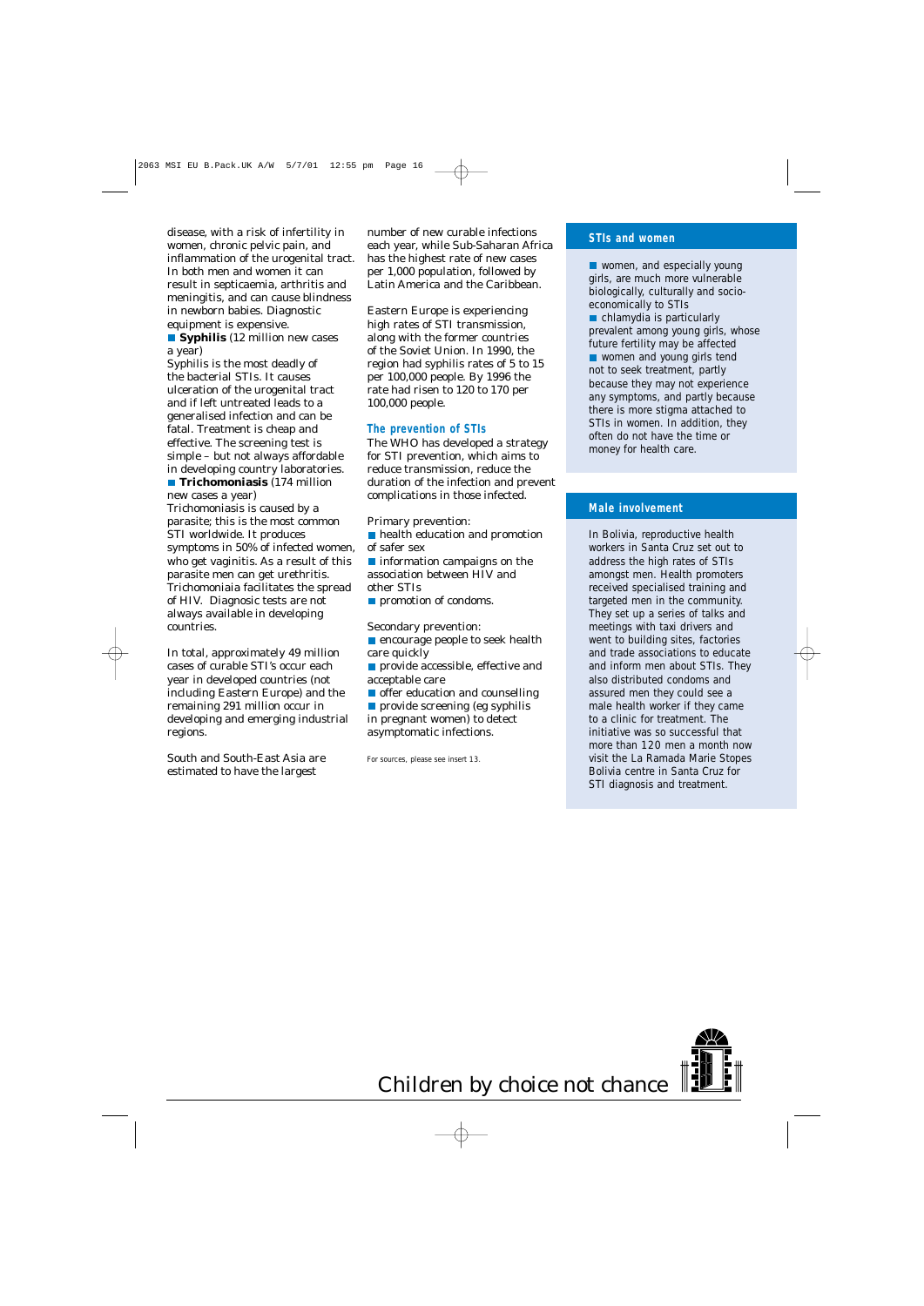disease, with a risk of infertility in women, chronic pelvic pain, and inflammation of the urogenital tract. In both men and women it can result in septicaemia, arthritis and meningitis, and can cause blindness in newborn babies. Diagnostic equipment is expensive.

**Syphilis** (12 million new cases a year)

Syphilis is the most deadly of the bacterial STIs. It causes ulceration of the urogenital tract and if left untreated leads to a generalised infection and can be fatal. Treatment is cheap and effective. The screening test is simple – but not always affordable in developing country laboratories. **Trichomoniasis** (174 million

new cases a year)

Trichomoniasis is caused by a parasite; this is the most common STI worldwide. It produces symptoms in 50% of infected women, who get vaginitis. As a result of this parasite men can get urethritis. Trichomoniaia facilitates the spread of HIV. Diagnosic tests are not always available in developing countries.

In total, approximately 49 million cases of curable STI's occur each year in developed countries (not including Eastern Europe) and the remaining 291 million occur in developing and emerging industrial regions.

South and South-East Asia are estimated to have the largest

number of new curable infections each year, while Sub-Saharan Africa has the highest rate of new cases per 1,000 population, followed by Latin America and the Caribbean.

Eastern Europe is experiencing high rates of STI transmission, along with the former countries of the Soviet Union. In 1990, the region had syphilis rates of 5 to 15 per 100,000 people. By 1996 the rate had risen to 120 to 170 per 100,000 people.

#### **The prevention of STIs**

The WHO has developed a strategy for STI prevention, which aims to reduce transmission, reduce the duration of the infection and prevent complications in those infected.

Primary prevention:

**health education and promotion** of safer sex

**n** information campaigns on the association between HIV and other STIs

**promotion of condoms.** 

Secondary prevention:

- **E** encourage people to seek health care quickly
- **provide accessible, effective and** acceptable care

offer education and counselling **provide screening (eg syphilis**)

in pregnant women) to detect asymptomatic infections.

For sources, please see insert 13.

#### **STIs and women**

■ women, and especially young girls, are much more vulnerable biologically, culturally and socioeconomically to STIs chlamydia is particularly prevalent among young girls, whose future fertility may be affected ■ women and young girls tend not to seek treatment, partly because they may not experience any symptoms, and partly because there is more stigma attached to STIs in women. In addition, they often do not have the time or money for health care.

#### **Male involvement**

In Bolivia, reproductive health workers in Santa Cruz set out to address the high rates of STIs amongst men. Health promoters received specialised training and targeted men in the community. They set up a series of talks and meetings with taxi drivers and went to building sites, factories and trade associations to educate and inform men about STIs. They also distributed condoms and assured men they could see a male health worker if they came to a clinic for treatment. The initiative was so successful that more than 120 men a month now visit the La Ramada Marie Stopes Bolivia centre in Santa Cruz for STI diagnosis and treatment.

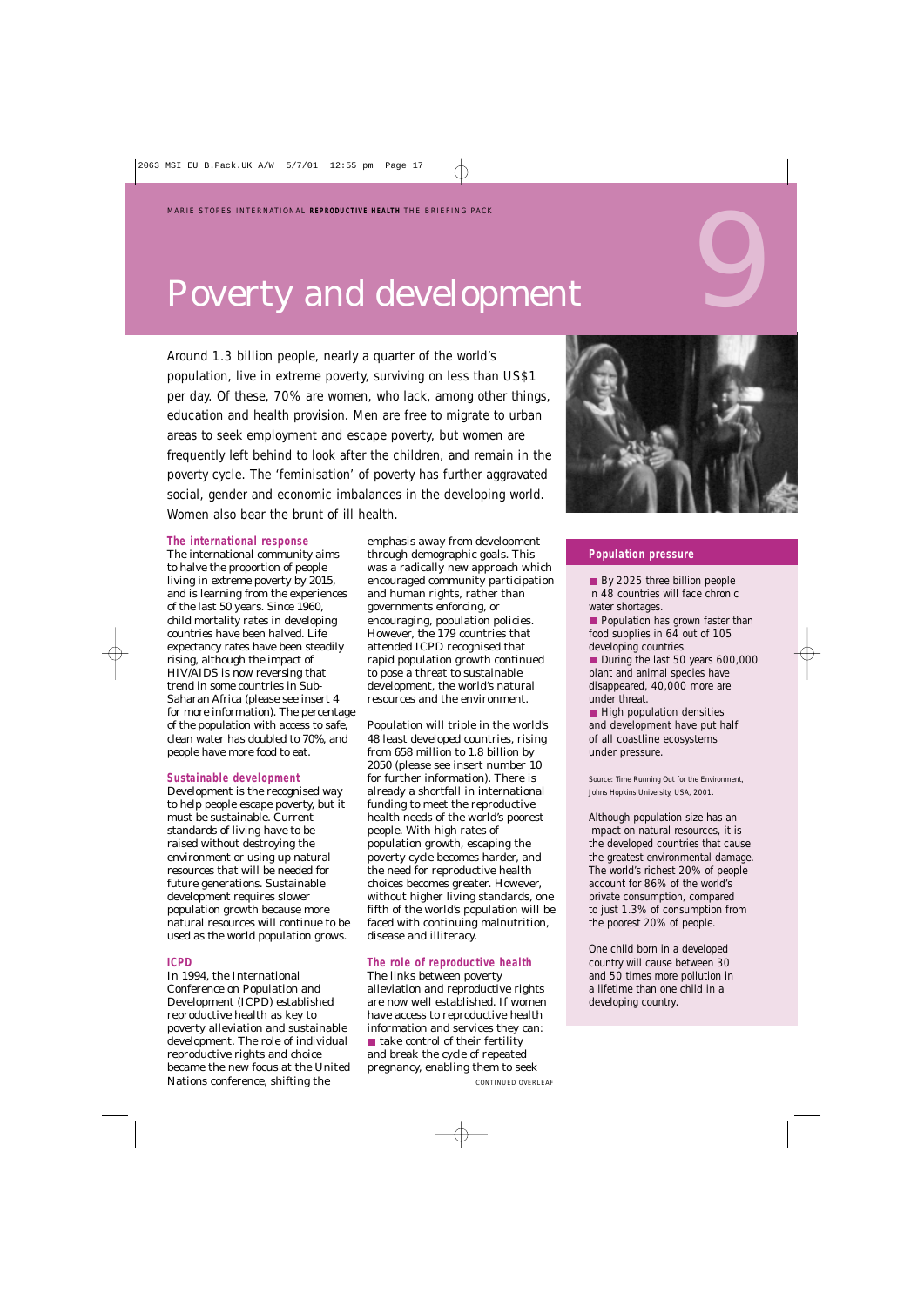## Poverty and development

Around 1.3 billion people, nearly a quarter of the world's population, live in extreme poverty, surviving on less than US\$1 per day. Of these, 70% are women, who lack, among other things, education and health provision. Men are free to migrate to urban areas to seek employment and escape poverty, but women are frequently left behind to look after the children, and remain in the poverty cycle. The 'feminisation' of poverty has further aggravated social, gender and economic imbalances in the developing world. Women also bear the brunt of ill health.

#### **The international response**

The international community aims to halve the proportion of people living in extreme poverty by 2015, and is learning from the experiences of the last 50 years. Since 1960, child mortality rates in developing countries have been halved. Life expectancy rates have been steadily rising, although the impact of HIV/AIDS is now reversing that trend in some countries in Sub-Saharan Africa (please see insert 4 for more information). The percentage of the population with access to safe, clean water has doubled to 70%, and people have more food to eat.

#### **Sustainable development**

Development is the recognised way to help people escape poverty, but it must be sustainable. Current standards of living have to be raised without destroying the environment or using up natural resources that will be needed for future generations. Sustainable development requires slower population growth because more natural resources will continue to be used as the world population grows.

#### **ICPD**

In 1994, the International Conference on Population and Development (ICPD) established reproductive health as key to poverty alleviation and sustainable development. The role of individual reproductive rights and choice became the new focus at the United Nations conference, shifting the

emphasis away from development through demographic goals. This was a radically new approach which encouraged community participation and human rights, rather than governments enforcing, or encouraging, population policies. However, the 179 countries that attended ICPD recognised that rapid population growth continued to pose a threat to sustainable development, the world's natural resources and the environment.

Population will triple in the world's 48 least developed countries, rising from 658 million to 1.8 billion by 2050 (please see insert number 10 for further information). There is already a shortfall in international funding to meet the reproductive health needs of the world's poorest people. With high rates of population growth, escaping the poverty cycle becomes harder, and the need for reproductive health choices becomes greater. However, without higher living standards, one fifth of the world's population will be faced with continuing malnutrition, disease and illiteracy.

#### **The role of reproductive health**

The links between poverty alleviation and reproductive rights are now well established. If women have access to reproductive health information and services they can:  $\blacksquare$  take control of their fertility and break the cycle of repeated pregnancy, enabling them to seek



#### **Population pressure**

By 2025 three billion people in 48 countries will face chronic water shortages.

**Population has grown faster than** food supplies in 64 out of 105 developing countries.

During the last 50 years 600,000 plant and animal species have disappeared, 40,000 more are under threat.

High population densities and development have put half of all coastline ecosystems under pressure.

Source: *Time Running Out for the Environment*, Johns Hopkins University, USA, 2001.

Although population size has an impact on natural resources, it is the developed countries that cause the greatest environmental damage. The world's richest 20% of people account for 86% of the world's private consumption, compared to just 1.3% of consumption from the poorest 20% of people.

One child born in a developed country will cause between 30 and 50 times more pollution in a lifetime than one child in a developing country.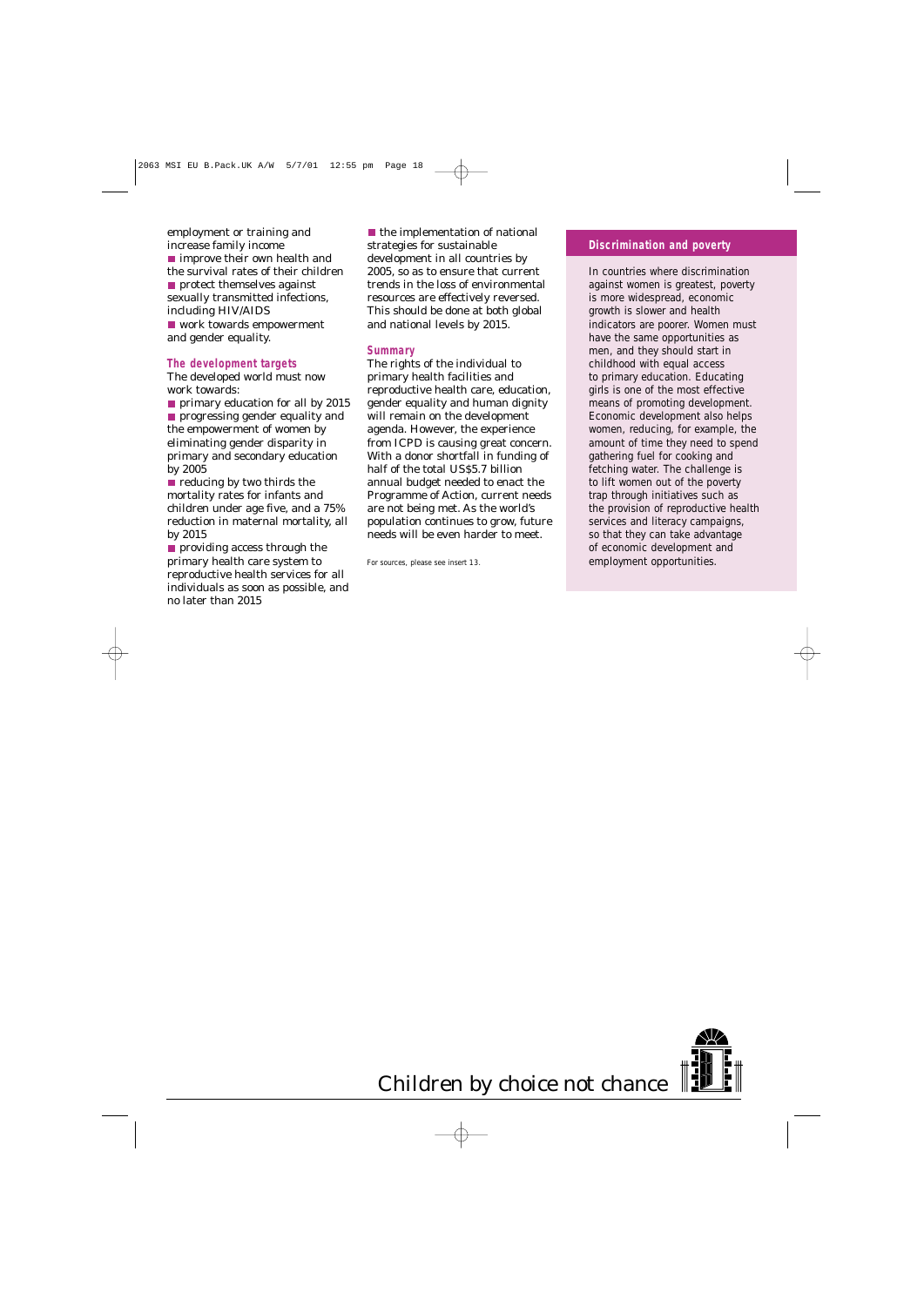employment or training and increase family income ■ improve their own health and the survival rates of their children **protect themselves against** sexually transmitted infections, including HIV/AIDS ■ work towards empowerment and gender equality.

#### **The development targets**

The developed world must now work towards:

**primary education for all by 2015 progressing gender equality and** the empowerment of women by eliminating gender disparity in primary and secondary education by 2005

reducing by two thirds the mortality rates for infants and children under age five, and a 75% reduction in maternal mortality, all by 2015

**providing access through the** primary health care system to reproductive health services for all individuals as soon as possible, and no later than 2015

 $\blacksquare$  the implementation of national strategies for sustainable development in all countries by 2005, so as to ensure that current trends in the loss of environmental resources are effectively reversed. This should be done at both global and national levels by 2015.

#### **Summary**

The rights of the individual to primary health facilities and reproductive health care, education, gender equality and human dignity will remain on the development agenda. However, the experience from ICPD is causing great concern. With a donor shortfall in funding of half of the total US\$5.7 billion annual budget needed to enact the Programme of Action, current needs are not being met. As the world's population continues to grow, future needs will be even harder to meet.

For sources, please see insert 13.

#### **Discrimination and poverty**

In countries where discrimination against women is greatest, poverty is more widespread, economic growth is slower and health indicators are poorer. Women must have the same opportunities as men, and they should start in childhood with equal access to primary education. Educating girls is one of the most effective means of promoting development. Economic development also helps women, reducing, for example, the amount of time they need to spend gathering fuel for cooking and fetching water. The challenge is to lift women out of the poverty trap through initiatives such as the provision of reproductive health services and literacy campaigns, so that they can take advantage of economic development and employment opportunities.

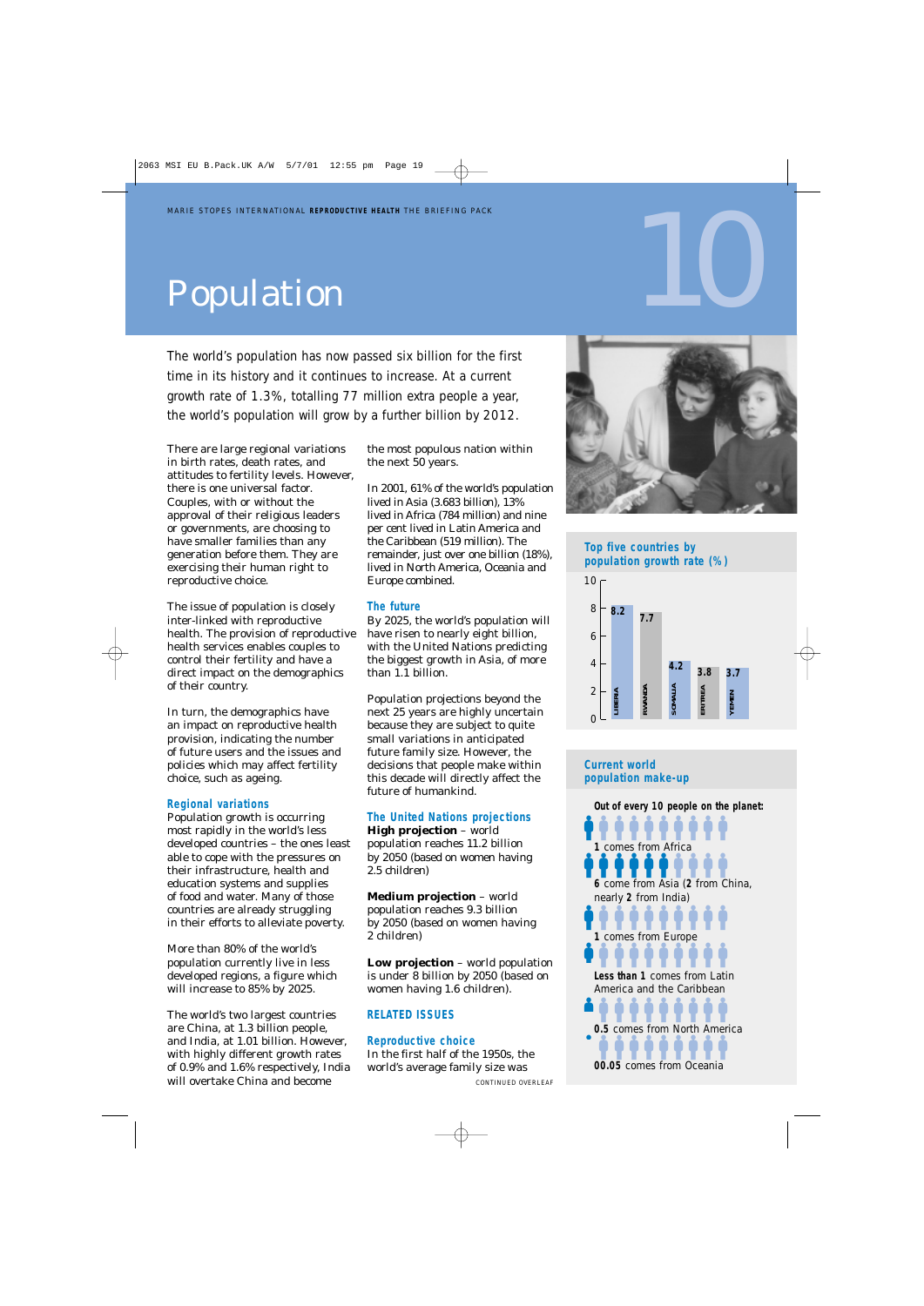# Population

The world's population has now passed six billion for the first time in its history and it continues to increase. At a current growth rate of 1.3%, totalling 77 million extra people a year, the world's population will grow by a further billion by 2012.

There are large regional variations in birth rates, death rates, and attitudes to fertility levels. However, there is one universal factor. Couples, with or without the approval of their religious leaders or governments, are choosing to have smaller families than any generation before them. They are exercising their human right to reproductive choice.

The issue of population is closely inter-linked with reproductive health. The provision of reproductive health services enables couples to control their fertility and have a direct impact on the demographics of their country.

In turn, the demographics have an impact on reproductive health provision, indicating the number of future users and the issues and policies which may affect fertility choice, such as ageing.

#### **Regional variations**

Population growth is occurring most rapidly in the world's less developed countries – the ones least able to cope with the pressures on their infrastructure, health and education systems and supplies of food and water. Many of those countries are already struggling in their efforts to alleviate poverty.

More than 80% of the world's population currently live in less developed regions, a figure which will increase to 85% by 2025.

The world's two largest countries are China, at 1.3 billion people, and India, at 1.01 billion. However, with highly different growth rates of 0.9% and 1.6% respectively, India will overtake China and become

the most populous nation within the next 50 years.

In 2001, 61% of the world's population lived in Asia (3.683 billion), 13% lived in Africa (784 million) and nine per cent lived in Latin America and the Caribbean (519 million). The remainder, just over one billion (18%), lived in North America, Oceania and Europe combined.

#### **The future**

By 2025, the world's population will have risen to nearly eight billion, with the United Nations predicting the biggest growth in Asia, of more than 1.1 billion.

Population projections beyond the next 25 years are highly uncertain because they are subject to quite small variations in anticipated future family size. However, the decisions that people make within this decade will directly affect the future of humankind.

#### **The United Nations projections**

**High projection** – world population reaches 11.2 billion by 2050 (based on women having 2.5 children)

**Medium projection** – world population reaches 9.3 billion by 2050 (based on women having 2 children)

**Low projection** – world population is under 8 billion by 2050 (based on women having 1.6 children).

#### **RELATED ISSUES**

**Reproductive choice**

In the first half of the 1950s, the world's average family size was



10

#### **Top five countries by population growth rate (%)**



#### **Current world population make-up**

**1** comes from Africa **6** come from Asia (**2** from China, **1** comes from Europe **Less than 1** comes from Latin %%%%%%%%%% **0.5** comes from North America **0.5** comes from North America **Out of every 10 people on the planet:** nearly **2** from India) America and the Caribbean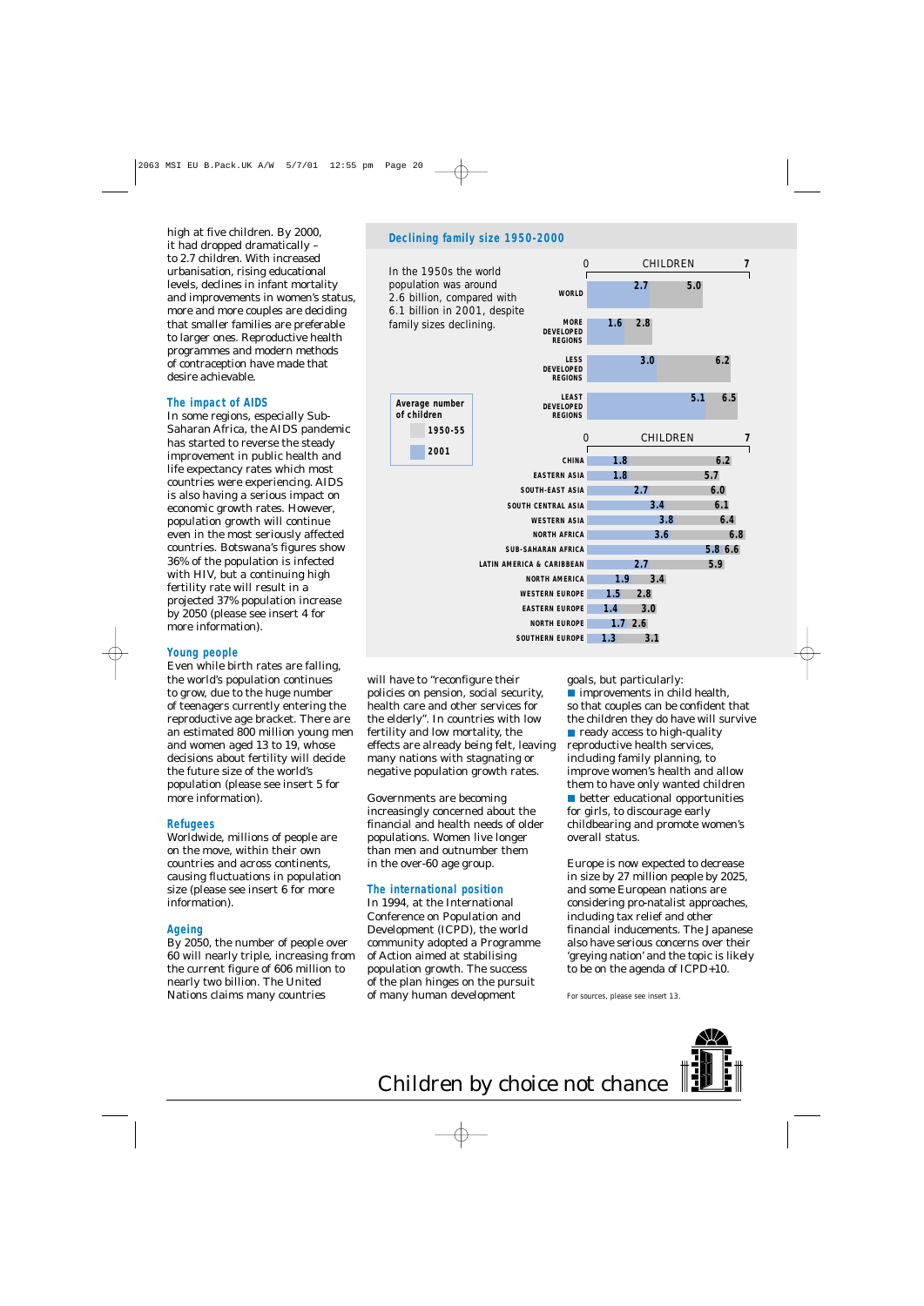high at five children. By 2000, it had dropped dramatically – to 2.7 children. With increased urbanisation, rising educational levels, declines in infant mortality and improvements in women's status, more and more couples are deciding that smaller families are preferable to larger ones. Reproductive health programmes and modern methods of contraception have made that desire achievable.

#### **The impact of AIDS**

In some regions, especially Sub-Saharan Africa, the AIDS pandemic has started to reverse the steady improvement in public health and life expectancy rates which most countries were experiencing. AIDS is also having a serious impact on economic growth rates. However, population growth will continue even in the most seriously affected countries. Botswana's figures show 36% of the population is infected with HIV, but a continuing high fertility rate will result in a projected 37% population increase by 2050 (please see insert 4 for more information).

#### **Young people**

Even while birth rates are falling, the world's population continues to grow, due to the huge number of teenagers currently entering the reproductive age bracket. There are an estimated 800 million young men and women aged 13 to 19, whose decisions about fertility will decide the future size of the world's population (please see insert 5 for more information).

#### **Refugees**

Worldwide, millions of people are on the move, within their own countries and across continents, causing fluctuations in population size (please see insert 6 for more information).

#### **Ageing**

By 2050, the number of people over 60 will nearly triple, increasing from the current figure of 606 million to nearly two billion. The United Nations claims many countries

#### **Declining family size 1950-2000**



will have to "reconfigure their policies on pension, social security, health care and other services for the elderly". In countries with low fertility and low mortality, the effects are already being felt, leaving many nations with stagnating or negative population growth rates.

Governments are becoming increasingly concerned about the financial and health needs of older populations. Women live longer than men and outnumber them in the over-60 age group.

#### **The international position**

In 1994, at the International Conference on Population and Development (ICPD), the world community adopted a Programme of Action aimed at stabilising population growth. The success of the plan hinges on the pursuit of many human development

goals, but particularly:

**n** improvements in child health, so that couples can be confident that the children they do have will survive  $\blacksquare$  ready access to high-quality reproductive health services, including family planning, to improve women's health and allow them to have only wanted children **D** better educational opportunities for girls, to discourage early childbearing and promote women's overall status.

Europe is now expected to decrease in size by 27 million people by 2025, and some European nations are considering pro-natalist approaches, including tax relief and other financial inducements. The Japanese also have serious concerns over their 'greying nation' and the topic is likely to be on the agenda of ICPD+10.

For sources, please see insert 13.

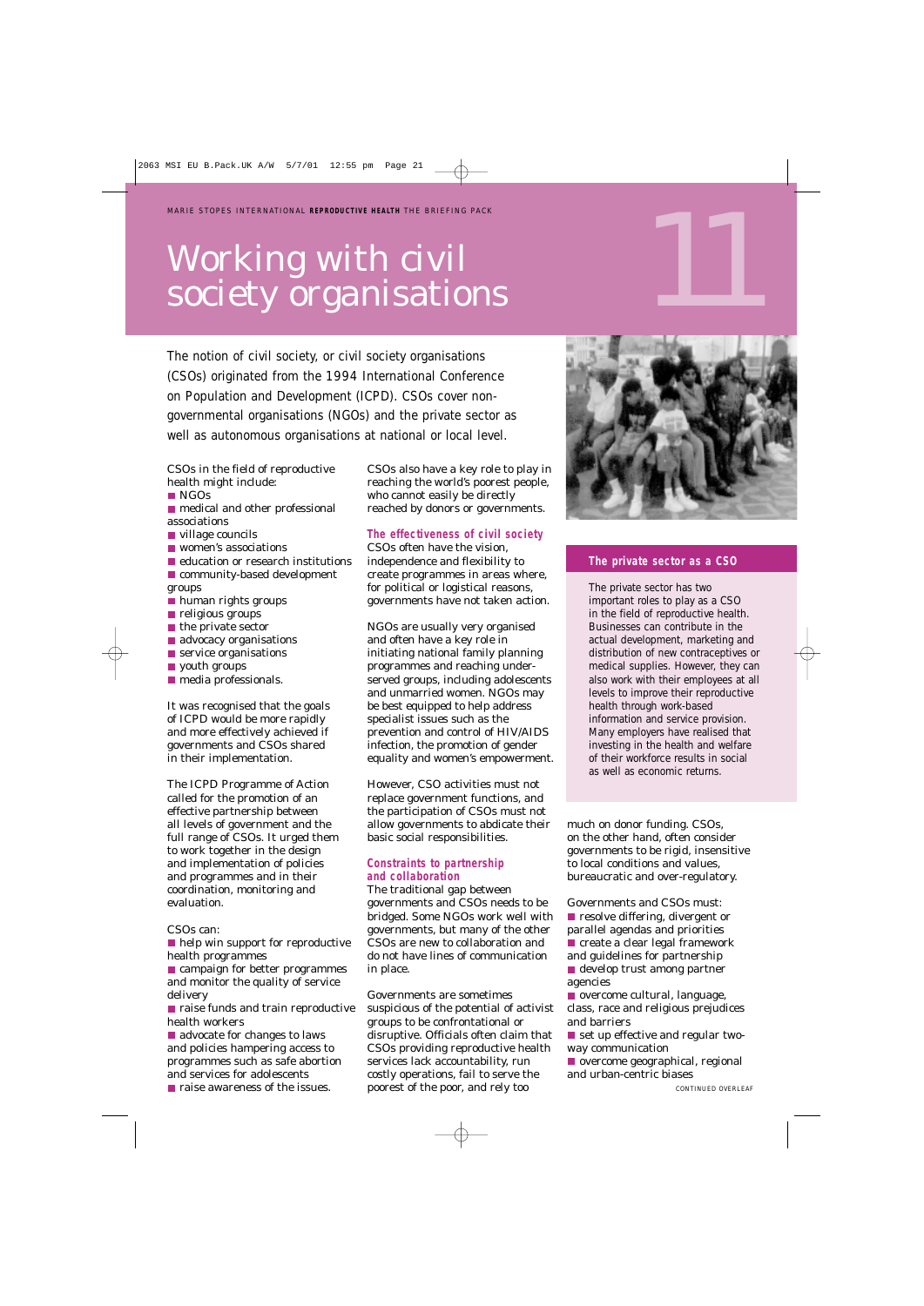## Working with civil society organisations

The notion of civil society, or civil society organisations (CSOs) originated from the 1994 International Conference on Population and Development (ICPD). CSOs cover nongovernmental organisations (NGOs) and the private sector as well as autonomous organisations at national or local level.

CSOs in the field of reproductive health might include:

■ NGOs

**n** medical and other professional associations

- village councils
- **N** women's associations
- education or research institutions
- **Community-based development** groups
- human rights groups
- **religious groups**
- $\blacksquare$  the private sector
- advocacy organisations
- **Service organisations**
- **v** youth groups
- **n** media professionals.

It was recognised that the goals of ICPD would be more rapidly and more effectively achieved if governments and CSOs shared in their implementation.

The ICPD Programme of Action called for the promotion of an effective partnership between all levels of government and the full range of CSOs. It urged them to work together in the design and implementation of policies and programmes and in their coordination, monitoring and evaluation.

#### CSOs can:

**help win support for reproductive** health programmes

**C** campaign for better programmes and monitor the quality of service delivery

■ raise funds and train reproductive health workers

advocate for changes to laws and policies hampering access to programmes such as safe abortion and services for adolescents

**n** raise awareness of the issues.

CSOs also have a key role to play in reaching the world's poorest people, who cannot easily be directly reached by donors or governments.

#### **The effectiveness of civil society**

CSOs often have the vision, independence and flexibility to create programmes in areas where, for political or logistical reasons, governments have not taken action.

NGOs are usually very organised and often have a key role in initiating national family planning programmes and reaching underserved groups, including adolescents and unmarried women. NGOs may be best equipped to help address specialist issues such as the prevention and control of HIV/AIDS infection, the promotion of gender equality and women's empowerment.

However, CSO activities must not replace government functions, and the participation of CSOs must not allow governments to abdicate their basic social responsibilities.

#### **Constraints to partnership and collaboration**

The traditional gap between governments and CSOs needs to be bridged. Some NGOs work well with governments, but many of the other CSOs are new to collaboration and do not have lines of communication in place.

Governments are sometimes suspicious of the potential of activist groups to be confrontational or disruptive. Officials often claim that CSOs providing reproductive health services lack accountability, run costly operations, fail to serve the poorest of the poor, and rely too



#### **The private sector as a CSO**

The private sector has two important roles to play as a CSO in the field of reproductive health. Businesses can contribute in the actual development, marketing and distribution of new contraceptives or medical supplies. However, they can also work with their employees at all levels to improve their reproductive health through work-based information and service provision. Many employers have realised that investing in the health and welfare of their workforce results in social as well as economic returns.

much on donor funding. CSOs, on the other hand, often consider governments to be rigid, insensitive to local conditions and values, bureaucratic and over-regulatory.

Governments and CSOs must: **P** resolve differing, divergent or parallel agendas and priorities  $\blacksquare$  create a clear legal framework and guidelines for partnership

develop trust among partner agencies

overcome cultural, language, class, race and religious prejudices and barriers

set up effective and regular twoway communication

overcome geographical, regional and urban-centric biases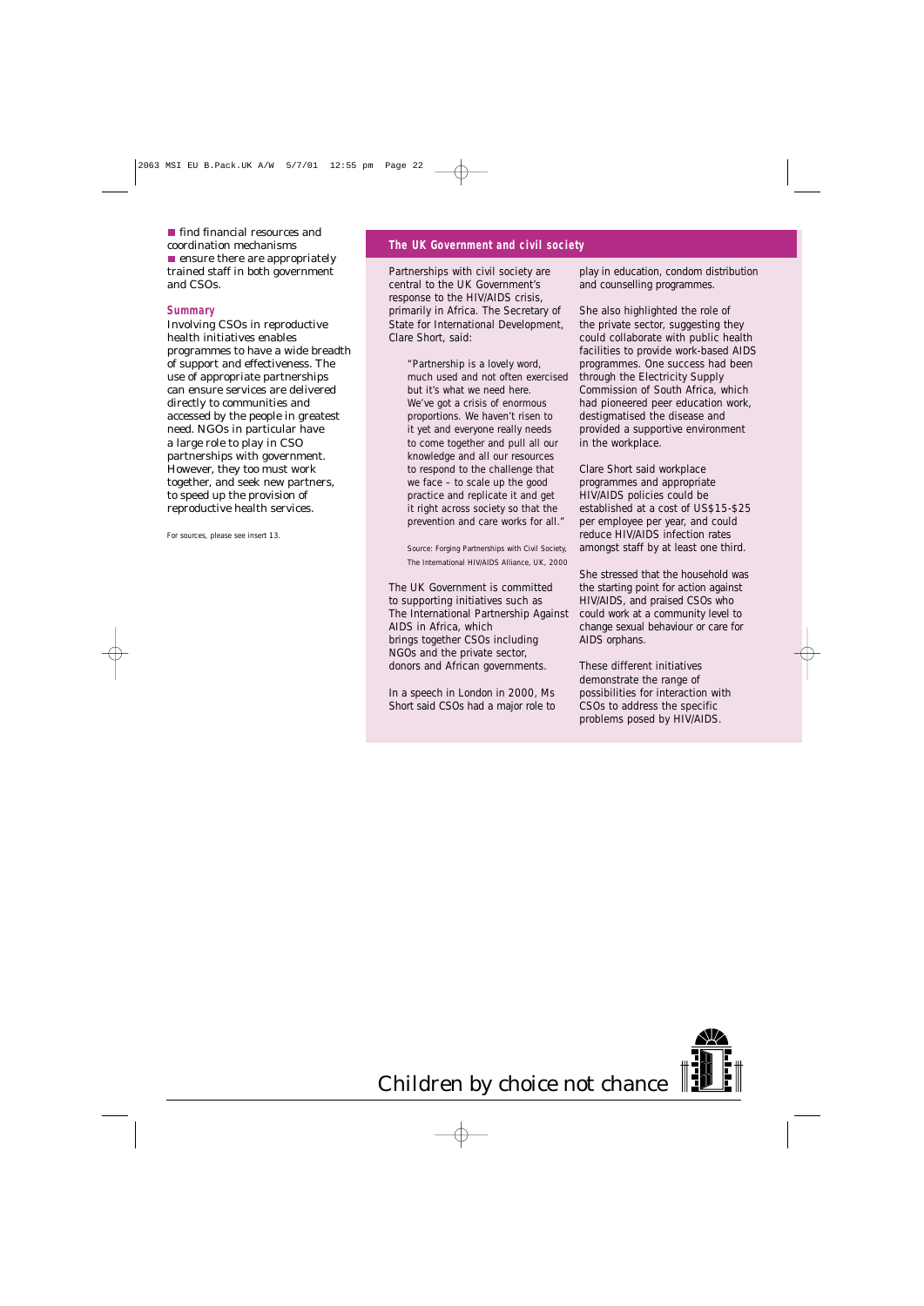**find financial resources and** coordination mechanisms  $\blacksquare$  ensure there are appropriately trained staff in both government and CSOs.

#### **Summary**

Involving CSOs in reproductive health initiatives enables programmes to have a wide breadth of support and effectiveness. The use of appropriate partnerships can ensure services are delivered directly to communities and accessed by the people in greatest need. NGOs in particular have a large role to play in CSO partnerships with government. However, they too must work together, and seek new partners, to speed up the provision of reproductive health services.

For sources, please see insert 13.

#### **The UK Government and civil society**

Partnerships with civil society are central to the UK Government's response to the HIV/AIDS crisis, primarily in Africa. The Secretary of State for International Development, Clare Short, said:

> *"Partnership is a lovely word, much used and not often exercised but it's what we need here. We've got a crisis of enormous proportions. We haven't risen to it yet and everyone really needs to come together and pull all our knowledge and all our resources to respond to the challenge that we face – to scale up the good practice and replicate it and get it right across society so that the prevention and care works for all."*

> Source: *Forging Partnerships with Civil Society,* The International HIV/AIDS Alliance, UK, 2000

The UK Government is committed to supporting initiatives such as The International Partnership Against AIDS in Africa, which brings together CSOs including NGOs and the private sector, donors and African governments.

In a speech in London in 2000, Ms Short said CSOs had a major role to play in education, condom distribution and counselling programmes.

She also highlighted the role of the private sector, suggesting they could collaborate with public health facilities to provide work-based AIDS programmes. One success had been through the Electricity Supply Commission of South Africa, which had pioneered peer education work, destigmatised the disease and provided a supportive environment in the workplace.

Clare Short said workplace programmes and appropriate HIV/AIDS policies could be established at a cost of US\$15-\$25 per employee per year, and could reduce HIV/AIDS infection rates amongst staff by at least one third.

She stressed that the household was the starting point for action against HIV/AIDS, and praised CSOs who could work at a community level to change sexual behaviour or care for AIDS orphans.

These different initiatives demonstrate the range of possibilities for interaction with CSOs to address the specific problems posed by HIV/AIDS.

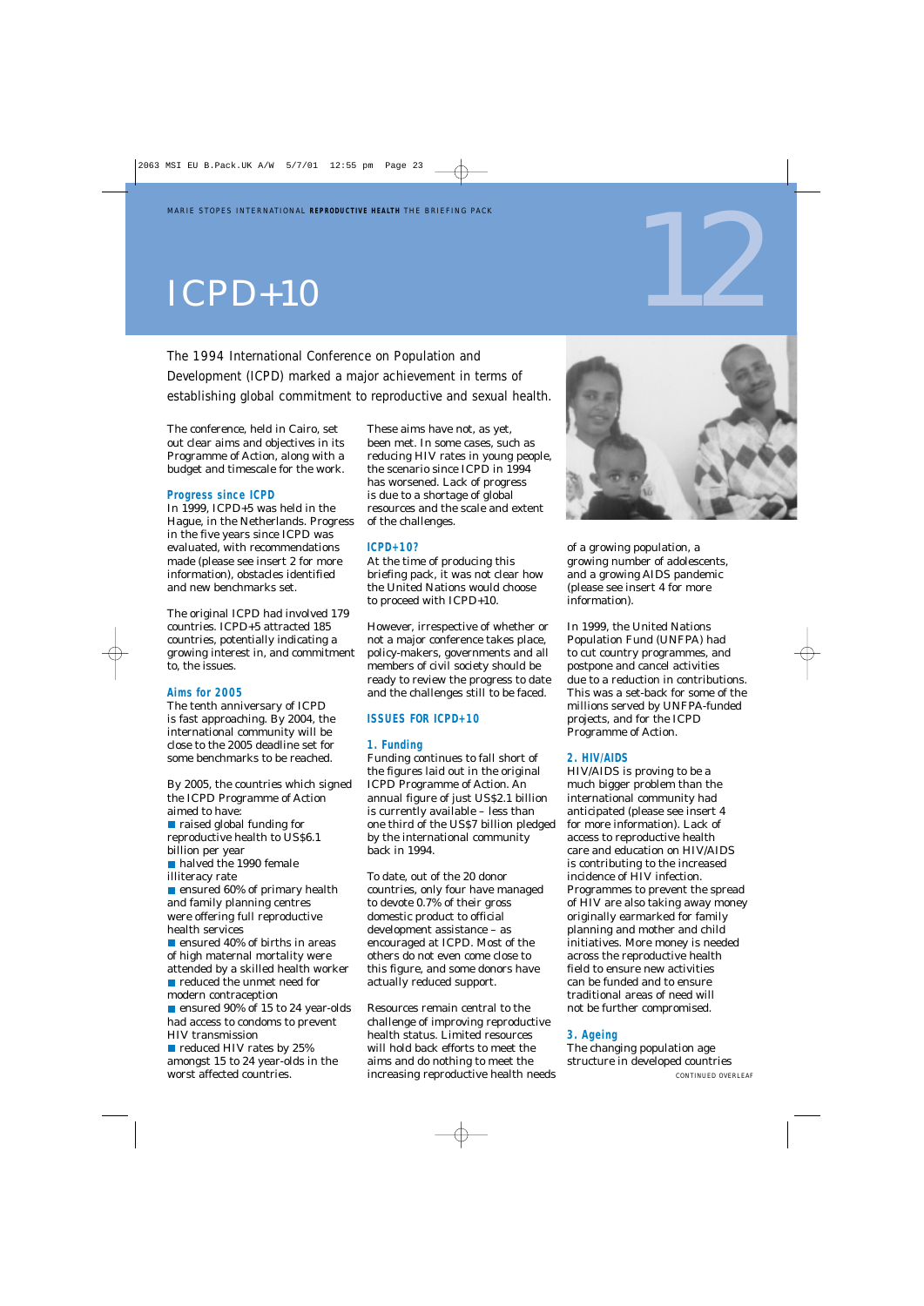## $ICPD+10$

The 1994 International Conference on Population and Development (ICPD) marked a major achievement in terms of establishing global commitment to reproductive and sexual health.

The conference, held in Cairo, set out clear aims and objectives in its Programme of Action, along with a budget and timescale for the work.

#### **Progress since ICPD**

In 1999, ICPD+5 was held in the Hague, in the Netherlands. Progress in the five years since ICPD was evaluated, with recommendations made (please see insert 2 for more information), obstacles identified and new benchmarks set.

The original ICPD had involved 179 countries. ICPD+5 attracted 185 countries, potentially indicating a growing interest in, and commitment to, the issues.

#### **Aims for 2005**

The tenth anniversary of ICPD is fast approaching. By 2004, the international community will be close to the 2005 deadline set for some benchmarks to be reached.

By 2005, the countries which signed the ICPD Programme of Action aimed to have:

**raised global funding for** reproductive health to US\$6.1 billion per year

halved the 1990 female illiteracy rate

**E** ensured 60% of primary health and family planning centres were offering full reproductive health services

**E** ensured 40% of births in areas of high maternal mortality were attended by a skilled health worker reduced the unmet need for modern contraception

■ ensured 90% of 15 to 24 year-olds had access to condoms to prevent HIV transmission

reduced HIV rates by 25% amongst 15 to 24 year-olds in the worst affected countries.

These aims have not, as yet, been met. In some cases, such as reducing HIV rates in young people, the scenario since ICPD in 1994 has worsened. Lack of progress is due to a shortage of global resources and the scale and extent of the challenges.

#### **ICPD+10?**

At the time of producing this briefing pack, it was not clear how the United Nations would choose to proceed with ICPD+10.

However, irrespective of whether or not a major conference takes place, policy-makers, governments and all members of civil society should be ready to review the progress to date and the challenges still to be faced.

#### **ISSUES FOR ICPD+10**

#### **1. Funding**

Funding continues to fall short of the figures laid out in the original ICPD Programme of Action. An annual figure of just US\$2.1 billion is currently available – less than one third of the US\$7 billion pledged by the international community back in 1994.

To date, out of the 20 donor countries, only four have managed to devote 0.7% of their gross domestic product to official development assistance – as encouraged at ICPD. Most of the others do not even come close to this figure, and some donors have actually reduced support.

Resources remain central to the challenge of improving reproductive health status. Limited resources will hold back efforts to meet the aims and do nothing to meet the increasing reproductive health needs



12

of a growing population, a growing number of adolescents, and a growing AIDS pandemic (please see insert 4 for more information).

In 1999, the United Nations Population Fund (UNFPA) had to cut country programmes, and postpone and cancel activities due to a reduction in contributions. This was a set-back for some of the millions served by UNFPA-funded projects, and for the ICPD Programme of Action.

#### **2. HIV/AIDS**

HIV/AIDS is proving to be a much bigger problem than the international community had anticipated (please see insert 4 for more information). Lack of access to reproductive health care and education on HIV/AIDS is contributing to the increased incidence of HIV infection. Programmes to prevent the spread of HIV are also taking away money originally earmarked for family planning and mother and child initiatives. More money is needed across the reproductive health field to ensure new activities can be funded and to ensure traditional areas of need will not be further compromised.

#### **3. Ageing**

The changing population age structure in developed countries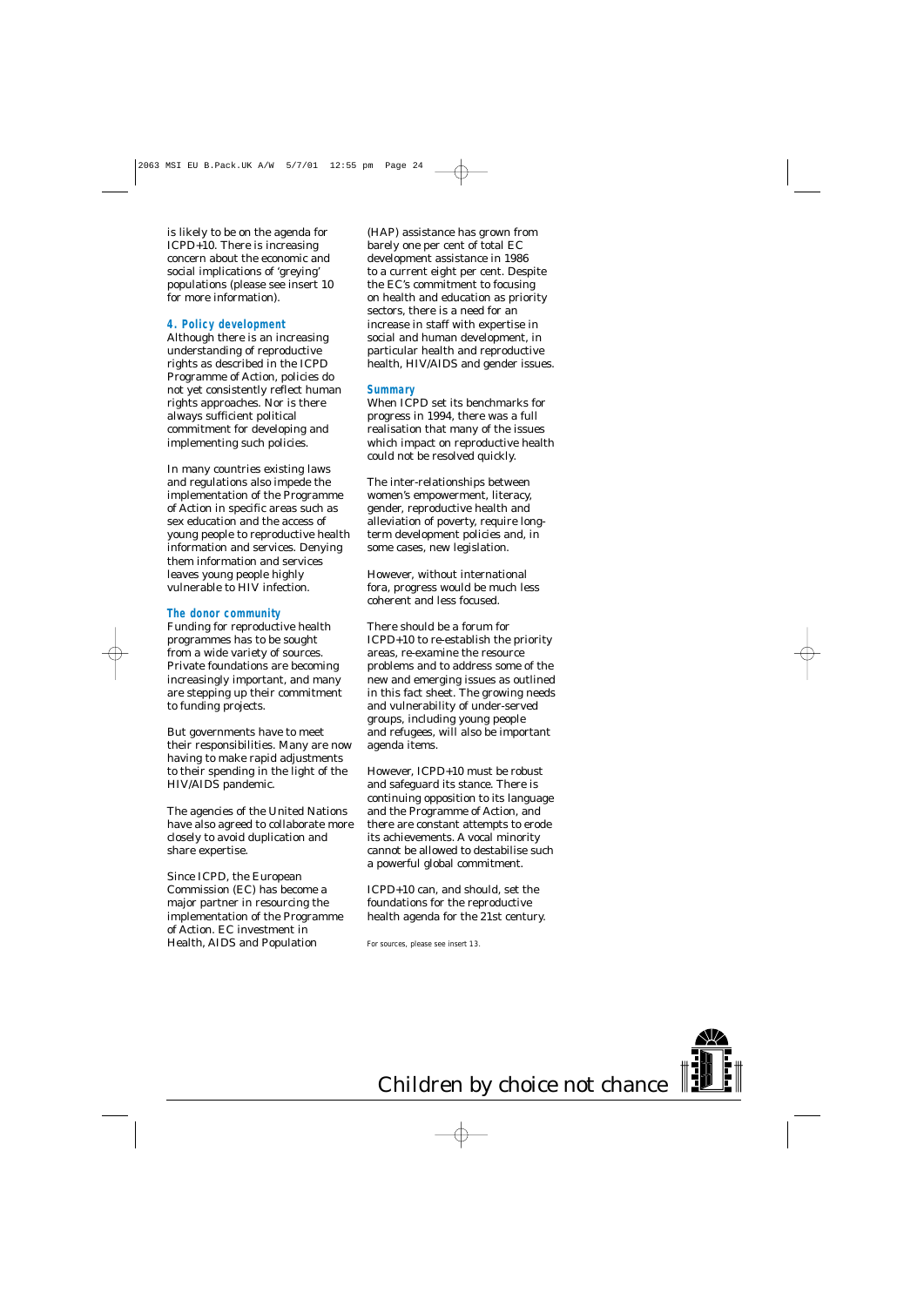is likely to be on the agenda for ICPD+10. There is increasing concern about the economic and social implications of 'greying' populations (please see insert 10 for more information).

#### **4. Policy development**

Although there is an increasing understanding of reproductive rights as described in the ICPD Programme of Action, policies do not yet consistently reflect human rights approaches. Nor is there always sufficient political commitment for developing and implementing such policies.

In many countries existing laws and regulations also impede the implementation of the Programme of Action in specific areas such as sex education and the access of young people to reproductive health information and services. Denying them information and services leaves young people highly vulnerable to HIV infection.

#### **The donor community**

Funding for reproductive health programmes has to be sought from a wide variety of sources. Private foundations are becoming increasingly important, and many are stepping up their commitment to funding projects.

But governments have to meet their responsibilities. Many are now having to make rapid adjustments to their spending in the light of the HIV/AIDS pandemic.

The agencies of the United Nations have also agreed to collaborate more closely to avoid duplication and share expertise.

Since ICPD, the European Commission (EC) has become a major partner in resourcing the implementation of the Programme of Action. EC investment in Health, AIDS and Population

(HAP) assistance has grown from barely one per cent of total EC development assistance in 1986 to a current eight per cent. Despite the EC's commitment to focusing on health and education as priority sectors, there is a need for an increase in staff with expertise in social and human development, in particular health and reproductive health, HIV/AIDS and gender issues.

#### **Summary**

When ICPD set its benchmarks for progress in 1994, there was a full realisation that many of the issues which impact on reproductive health could not be resolved quickly.

The inter-relationships between women's empowerment, literacy, gender, reproductive health and alleviation of poverty, require longterm development policies and, in some cases, new legislation.

However, without international fora, progress would be much less coherent and less focused.

There should be a forum for ICPD+10 to re-establish the priority areas, re-examine the resource problems and to address some of the new and emerging issues as outlined in this fact sheet. The growing needs and vulnerability of under-served groups, including young people and refugees, will also be important agenda items.

However, ICPD+10 must be robust and safeguard its stance. There is continuing opposition to its language and the Programme of Action, and there are constant attempts to erode its achievements. A vocal minority cannot be allowed to destabilise such a powerful global commitment.

ICPD+10 can, and should, set the foundations for the reproductive health agenda for the 21st century.

For sources, please see insert 13.